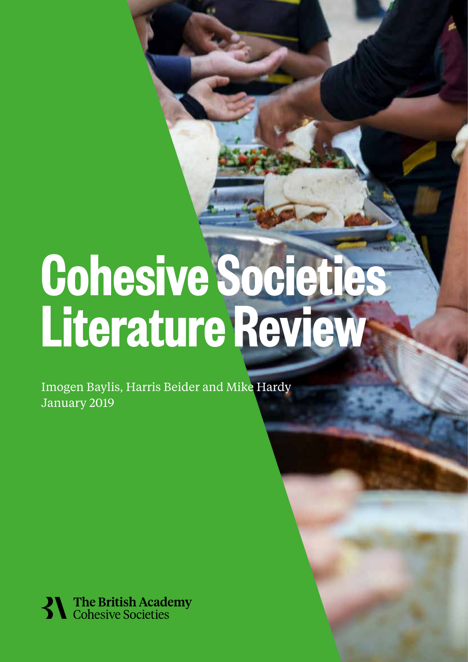# **Cohesive Societies Literature Review**

Imogen Baylis, Harris Beider and Mike Hardy January 2019

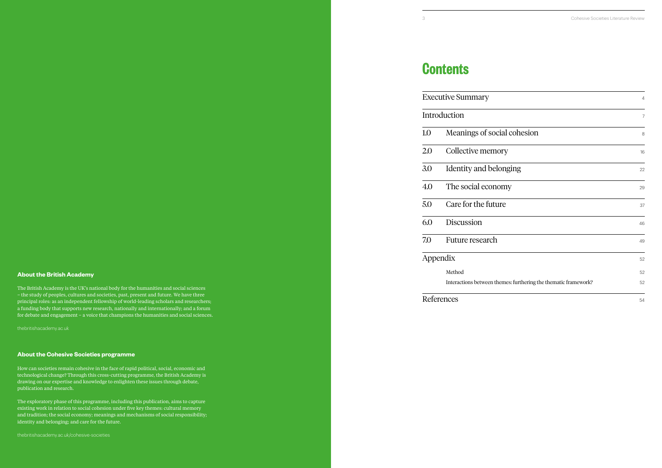## **Contents**

| <b>Executive Summary</b> |                          |  |
|--------------------------|--------------------------|--|
|                          | Introduction             |  |
| 1.0                      | Meanings of soci         |  |
| 2.0                      | Collective memo          |  |
| 3.0                      | Identity and belo        |  |
| 4.0                      | The social econor        |  |
| 5.0                      | Care for the futur       |  |
| 6.0                      | Discussion               |  |
| 7.0                      | Future research          |  |
| Appendix                 |                          |  |
|                          | Method                   |  |
|                          | Interactions between the |  |

**References** 

|          | <b>Executive Summary</b>                                        | $\sqrt{4}$     |
|----------|-----------------------------------------------------------------|----------------|
|          | <b>Introduction</b>                                             | $\overline{7}$ |
| 1.0      | Meanings of social cohesion                                     | 8              |
| 2.0      | Collective memory                                               | 16             |
| 3.0      | Identity and belonging                                          | 22             |
| 4.0      | The social economy                                              | 29             |
| 5.0      | Care for the future                                             | 37             |
| 6.0      | Discussion                                                      | 46             |
| 7.0      | Future research                                                 | 49             |
| Appendix |                                                                 | 52             |
|          | Method                                                          | 52             |
|          | Interactions between themes: furthering the thematic framework? | 52             |
|          | References                                                      | 54             |

#### **About the British Academy**

The British Academy is the UK's national body for the humanities and social sciences – the study of peoples, cultures and societies, past, present and future. We have three principal roles: as an independent fellowship of world-leading scholars and researchers; a funding body that supports new research, nationally and internationally; and a forum for debate and engagement – a voice that champions the humanities and social sciences.

thebritishacademy.ac.uk

#### **About the Cohesive Societies programme**

How can societies remain cohesive in the face of rapid political, social, economic and technological change? Through this cross-cutting programme, the British Academy is drawing on our expertise and knowledge to enlighten these issues through debate, publication and research.

The exploratory phase of this programme, including this publication, aims to capture existing work in relation to social cohesion under five key themes: cultural memory and tradition; the social economy; meanings and mechanisms of social responsibility; identity and belonging; and care for the future.

thebritishacademy.ac.uk/cohesive-societies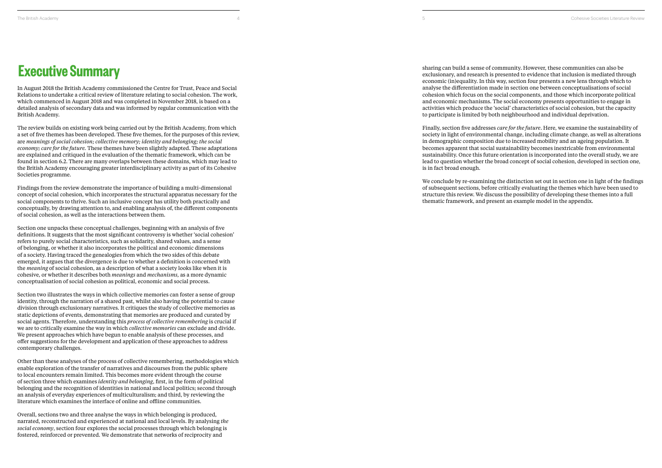# **Executive Summary**

In August 2018 the British Academy commissioned the Centre for Trust, Peace and Social Relations to undertake a critical review of literature relating to social cohesion. The work, which commenced in August 2018 and was completed in November 2018, is based on a detailed analysis of secondary data and was informed by regular communication with the British Academy.

The review builds on existing work being carried out by the British Academy, from which a set of five themes has been developed. These five themes, for the purposes of this review, are *meanings of social cohesion; collective memory; identity and belonging; the social economy; care for the future.* These themes have been slightly adapted. These adaptations are explained and critiqued in the evaluation of the thematic framework, which can be found in section 6.2. There are many overlaps between these domains, which may lead to the British Academy encouraging greater interdisciplinary activity as part of its Cohesive Societies programme.

Findings from the review demonstrate the importance of building a multi-dimensional concept of social cohesion, which incorporates the structural apparatus necessary for the social components to thrive. Such an inclusive concept has utility both practically and conceptually, by drawing attention to, and enabling analysis of, the different components of social cohesion, as well as the interactions between them.

Section one unpacks these conceptual challenges, beginning with an analysis of five definitions. It suggests that the most significant controversy is whether 'social cohesion' refers to purely social characteristics, such as solidarity, shared values, and a sense of belonging, or whether it also incorporates the political and economic dimensions of a society. Having traced the genealogies from which the two sides of this debate emerged, it argues that the divergence is due to whether a definition is concerned with the *meaning* of social cohesion, as a description of what a society looks like when it is cohesive, or whether it describes both *meanings* and *mechanisms,* as a more dynamic conceptualisation of social cohesion as political, economic and social process.

Section two illustrates the ways in which collective memories can foster a sense of group identity, through the narration of a shared past, whilst also having the potential to cause division through exclusionary narratives. It critiques the study of collective memories as static depictions of events, demonstrating that memories are produced and curated by social agents. Therefore, understanding this *process of collective remembering* is crucial if we are to critically examine the way in which *collective memories* can exclude and divide. We present approaches which have begun to enable analysis of these processes, and offer suggestions for the development and application of these approaches to address contemporary challenges.

Other than these analyses of the process of collective remembering, methodologies which enable exploration of the transfer of narratives and discourses from the public sphere to local encounters remain limited. This becomes more evident through the course of section three which examines *identity and belonging*, first, in the form of political belonging and the recognition of identities in national and local politics; second through an analysis of everyday experiences of multiculturalism; and third, by reviewing the literature which examines the interface of online and offline communities.

Overall, sections two and three analyse the ways in which belonging is produced, narrated, reconstructed and experienced at national and local levels. By analysing *the social economy*, section four explores the social processes through which belonging is fostered, reinforced or prevented. We demonstrate that networks of reciprocity and

sharing can build a sense of community. However, these communities can also be exclusionary, and research is presented to evidence that inclusion is mediated through economic (in)equality. In this way, section four presents a new lens through which to analyse the differentiation made in section one between conceptualisations of social cohesion which focus on the social components, and those which incorporate political and economic mechanisms. The social economy presents opportunities to engage in activities which produce the 'social' characteristics of social cohesion, but the capacity to participate is limited by both neighbourhood and individual deprivation.

Finally, section five addresses *care for the future*. Here, we examine the sustainability of society in light of environmental change, including climate change, as well as alterations in demographic composition due to increased mobility and an ageing population. It becomes apparent that social sustainability becomes inextricable from environmental sustainability. Once this future orientation is incorporated into the overall study, we are lead to question whether the broad concept of social cohesion, developed in section one, is in fact broad enough.

We conclude by re-examining the distinction set out in section one in light of the findings of subsequent sections, before critically evaluating the themes which have been used to structure this review. We discuss the possibility of developing these themes into a full thematic framework, and present an example model in the appendix.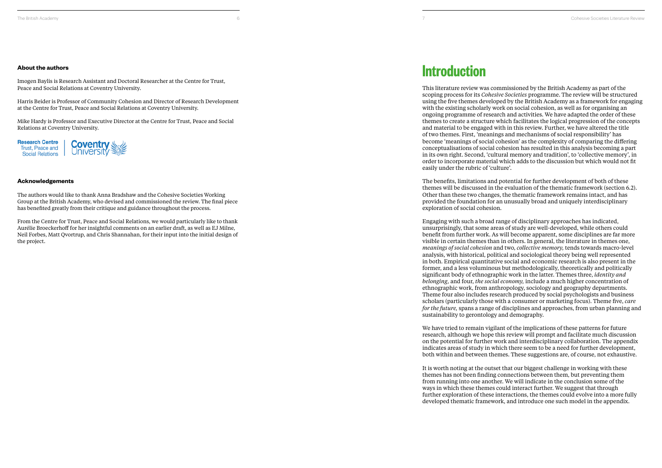#### **About the authors**

Imogen Baylis is Research Assistant and Doctoral Researcher at the Centre for Trust, Peace and Social Relations at Coventry University.

Harris Beider is Professor of Community Cohesion and Director of Research Development at the Centre for Trust, Peace and Social Relations at Coventry University.

Mike Hardy is Professor and Executive Director at the Centre for Trust, Peace and Social Relations at Coventry University.

**Research Centre** Trust, Peace and **Social Relations** 



#### **Acknowledgements**

The authors would like to thank Anna Bradshaw and the Cohesive Societies Working Group at the British Academy, who devised and commissioned the review. The final piece has benefited greatly from their critique and guidance throughout the process.

From the Centre for Trust, Peace and Social Relations, we would particularly like to thank Aurélie Broeckerhoff for her insightful comments on an earlier draft, as well as EJ Milne, Neil Forbes, Matt Qvortrup, and Chris Shannahan, for their input into the initial design of the project.

# **Introduction**

This literature review was commissioned by the British Academy as part of the scoping process for its *Cohesive Societies* programme. The review will be structured using the five themes developed by the British Academy as a framework for engaging with the existing scholarly work on social cohesion, as well as for organising an ongoing programme of research and activities. We have adapted the order of these themes to create a structure which facilitates the logical progression of the concepts and material to be engaged with in this review. Further, we have altered the title of two themes. First, 'meanings and mechanisms of social responsibility' has become 'meanings of social cohesion' as the complexity of comparing the differing conceptualisations of social cohesion has resulted in this analysis becoming a part in its own right. Second, 'cultural memory and tradition', to 'collective memory', in order to incorporate material which adds to the discussion but which would not fit easily under the rubric of 'culture'.

The benefits, limitations and potential for further development of both of these themes will be discussed in the evaluation of the thematic framework (section 6.2). Other than these two changes, the thematic framework remains intact, and has provided the foundation for an unusually broad and uniquely interdisciplinary exploration of social cohesion.

Engaging with such a broad range of disciplinary approaches has indicated, unsurprisingly, that some areas of study are well-developed, while others could benefit from further work. As will become apparent, some disciplines are far more visible in certain themes than in others. In general, the literature in themes one, *meanings of social cohesion* and two, *collective memory,* tends towards macro-level analysis, with historical, political and sociological theory being well represented in both. Empirical quantitative social and economic research is also present in the former, and a less voluminous but methodologically, theoretically and politically significant body of ethnographic work in the latter. Themes three, *identity and belonging,* and four, *the social economy,* include a much higher concentration of ethnographic work, from anthropology, sociology and geography departments. Theme four also includes research produced by social psychologists and business scholars (particularly those with a consumer or marketing focus). Theme five, *care for the future,* spans a range of disciplines and approaches, from urban planning and sustainability to gerontology and demography.

We have tried to remain vigilant of the implications of these patterns for future research, although we hope this review will prompt and facilitate much discussion on the potential for further work and interdisciplinary collaboration. The appendix indicates areas of study in which there seem to be a need for further development, both within and between themes. These suggestions are, of course, not exhaustive.

It is worth noting at the outset that our biggest challenge in working with these themes has not been finding connections between them, but preventing them from running into one another. We will indicate in the conclusion some of the ways in which these themes could interact further. We suggest that through further exploration of these interactions, the themes could evolve into a more fully developed thematic framework, and introduce one such model in the appendix.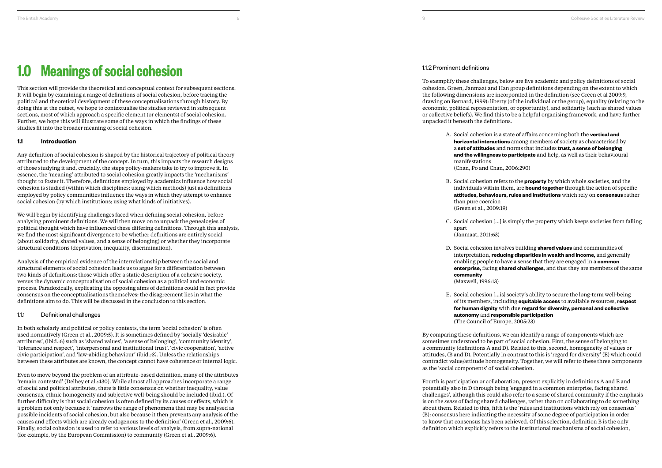# **1.0 Meanings of social cohesion**

This section will provide the theoretical and conceptual context for subsequent sections. It will begin by examining a range of definitions of social cohesion, before tracing the political and theoretical development of these conceptualisations through history. By doing this at the outset, we hope to contextualise the studies reviewed in subsequent sections, most of which approach a specific element (or elements) of social cohesion. Further, we hope this will illustrate some of the ways in which the findings of these studies fit into the broader meaning of social cohesion.

### **1.1 Introduction**

Any definition of social cohesion is shaped by the historical trajectory of political theory attributed to the development of the concept. In turn, this impacts the research designs of those studying it and, crucially, the steps policy-makers take to try to improve it. In essence, the 'meaning' attributed to social cohesion greatly impacts the 'mechanisms' thought to foster it. Therefore, definitions employed by academics influence how social cohesion is studied (within which disciplines; using which methods) just as definitions employed by policy communities influence the ways in which they attempt to enhance social cohesion (by which institutions; using what kinds of initiatives).

We will begin by identifying challenges faced when defining social cohesion, before analysing prominent definitions. We will then move on to unpack the genealogies of political thought which have influenced these differing definitions. Through this analysis, we find the most significant divergence to be whether definitions are entirely social (about solidarity, shared values, and a sense of belonging) or whether they incorporate structural conditions (deprivation, inequality, discrimination).

Analysis of the empirical evidence of the interrelationship between the social and structural elements of social cohesion leads us to argue for a differentiation between two kinds of definitions: those which offer a static description of a cohesive society, versus the dynamic conceptualisation of social cohesion as a political and economic process. Paradoxically, explicating the opposing aims of definitions could in fact provide consensus on the conceptualisations themselves: the disagreement lies in what the definitions aim to do. This will be discussed in the conclusion to this section.

#### 1.1.1 Definitional challenges

In both scholarly and political or policy contexts, the term 'social cohesion' is often used normatively (Green et al., 2009:5). It is sometimes defined by 'socially 'desirable' attributes', (ibid.:6) such as 'shared values', 'a sense of belonging', 'community identity', 'tolerance and respect', 'interpersonal and institutional trust', 'civic cooperation', 'active civic participation', and 'law-abiding behaviour' (ibid*.:8).* Unless the relationships between these attributes are known, the concept cannot have coherence or internal logic.

Even to move beyond the problem of an attribute-based definition, many of the attributes 'remain contested' (Delhey et al.:430). While almost all approaches incorporate a range of social and political attributes, there is little consensus on whether inequality, value consensus, ethnic homogeneity and subjective well-being should be included (ibid.). Of further difficulty is that social cohesion is often defined by its causes or effects, which is a problem not only because it 'narrows the range of phenomena that may be analysed as possible incidents of social cohesion, but also because it then prevents any analysis of the causes and effects which are already endogenous to the definition' (Green et al., 2009:6). Finally, social cohesion is used to refer to various levels of analysis, from supra-national (for example, by the European Commission) to community (Green et al., 2009:6).

#### 1.1.2 Prominent definitions

To exemplify these challenges, below are five academic and policy definitions of social cohesion. Green, Janmaat and Han group definitions depending on the extent to which the following dimensions are incorporated in the definition (see Green et al 2009:9, drawing on Bernard, 1999): liberty (of the individual or the group), equality (relating to the economic, political representation, or opportunity), and solidarity (such as shared values or collective beliefs). We find this to be a helpful organising framework, and have further unpacked it beneath the definitions.

> A. Social cohesion is a state of affairs concerning both the **vertical and horizontal interactions** among members of society as characterised by a **set of attitudes** and norms that includes **trust, a sense of belonging and the willingness to participate** and help, as well as their behavioural

B. Social cohesion refers to the **property** by which whole societies, and the individuals within them, are **bound together** through the action of specific **attitudes, behaviours, rules and institutions** which rely on **consensus** rather

C. Social cohesion […] is simply the property which keeps societies from falling

- manifestations (Chan, Po and Chan, 2006:290)
- than pure coercion (Green et al., 2009:19)
- apart (Janmaat, 2011:63)
- **community** (Maxwell, 1996:13)
- (The Council of Europe, 2005:23)

D. Social cohesion involves building **shared values** and communities of interpretation, **reducing disparities in wealth and income,** and generally enabling people to have a sense that they are engaged in a **common enterprise,** facing **shared challenges**, and that they are members of the same

E. Social cohesion […is] society's ability to secure the long-term well-being of its members, including **equitable access** to available resources, **respect for human dignity** with due **regard for diversity, personal and collective autonomy** and **responsible participation**

By comparing these definitions, we can identify a range of components which are sometimes understood to be part of social cohesion. First, the sense of belonging to a community (definitions A and D). Related to this, second, homogeneity of values or attitudes, (B and D). Potentially in contrast to this is 'regard for diversity' (E) which could contradict value/attitude homogeneity. Together, we will refer to these three components as the 'social components' of social cohesion.

Fourth is participation or collaboration, present explicitly in definitions A and E and potentially also in D through being 'engaged in a common enterprise, facing shared challenges', although this could also refer to a sense of shared community if the emphasis is on the *sense* of facing shared challenges, rather than on collaborating to do something about them. Related to this, fifth is the 'rules and institutions which rely on consensus' (B): consensus here indicating the necessity of some degree of participation in order to know that consensus has been achieved. Of this selection, definition B is the only definition which explicitly refers to the institutional mechanisms of social cohesion,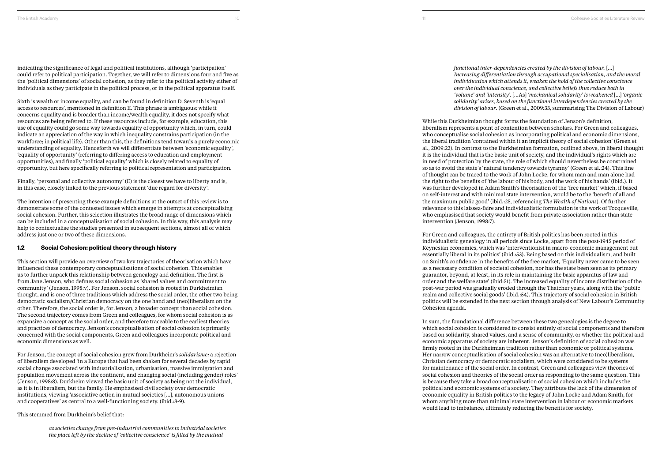indicating the significance of legal and political institutions, although 'participation' could refer to political participation. Together, we will refer to dimensions four and five as the 'political dimensions' of social cohesion, as they refer to the political activity either of individuals as they participate in the political process, or in the political apparatus itself.

Sixth is wealth or income equality, and can be found in definition D. Seventh is 'equal access to resources', mentioned in definition E. This phrase is ambiguous: while it concerns equality and is broader than income/wealth equality, it does not specify what resources are being referred to. If these resources include, for example, education, this use of equality could go some way towards equality of opportunity which, in turn, could indicate an appreciation of the way in which inequality constrains participation (in the workforce; in political life). Other than this, the definitions tend towards a purely economic understanding of equality. Henceforth we will differentiate between 'economic equality', 'equality of opportunity' (referring to differing access to education and employment opportunities), and finally 'political equality' which is closely related to equality of opportunity, but here specifically referring to political representation and participation.

Finally, 'personal and collective autonomy' (E) is the closest we have to liberty and is, in this case, closely linked to the previous statement 'due regard for diversity'.

The intention of presenting these example definitions at the outset of this review is to demonstrate some of the contested issues which emerge in attempts at conceptualising social cohesion. Further, this selection illustrates the broad range of dimensions which can be included in a conceptualisation of social cohesion. In this way, this analysis may help to contextualise the studies presented in subsequent sections, almost all of which address just one or two of these dimensions.

#### **1.2 Social Cohesion: political theory through history**

This section will provide an overview of two key trajectories of theorisation which have influenced these contemporary conceptualisations of social cohesion. This enables us to further unpack this relationship between genealogy and definition. The first is from Jane Jenson, who defines social cohesion as 'shared values and commitment to community' (Jenson, 1998:v). For Jenson, social cohesion is rooted in Durkheimian thought, and is one of three traditions which address the social order, the other two being democratic socialism/Christian democracy on the one hand and (neo)liberalism on the other. Therefore, the social order is, for Jenson, a broader concept than social cohesion. The second trajectory comes from Green and colleagues, for whom social cohesion is as expansive a concept as the social order, and therefore traceable to the earliest theories and practices of democracy. Jenson's conceptualisation of social cohesion is primarily concerned with the social components, Green and colleagues incorporate political and economic dimensions as well.

For Jenson, the concept of social cohesion grew from Durkheim's *solidarisme:* a rejection of liberalism developed 'in a Europe that had been shaken for several decades by rapid social change associated with industrialisation, urbanisation, massive immigration and population movement across the continent, and changing social (including gender) roles' (Jenson, 1998:8). Durkheim viewed the basic unit of society as being not the individual, as it is in liberalism, but the family. He emphasised civil society over democratic institutions, viewing 'associative action in mutual societies […], autonomous unions and cooperatives' as central to a well-functioning society. (ibid.:8-9).

This stemmed from Durkheim's belief that:

*as societies change from pre-industrial communities to industrial societies the place left by the decline of 'collective conscience' is filled by the mutual* 

*functional inter-dependencies created by the division of labour.* […] *Increasing differentiation through occupational specialisation, and the moral individuation which attends it, weaken the hold of the collective conscience over the individual conscience, and collective beliefs thus reduce both in 'volume' and 'intensity'.* […As] *'mechanical solidarity' is weakened* […] *'organic solidarity' arises, based on the functional interdependencies created by the division of labour*. (Green et al., 2009:33, summarising The Division of Labour)

While this Durkheimian thought forms the foundation of Jenson's definition, liberalism represents a point of contention between scholars. For Green and colleagues, who conceptualise social cohesion as incorporating political and economic dimensions, the liberal tradition 'contained within it an implicit theory of social cohesion' (Green et al., 2009:22). In contrast to the Durkheimian formation, outlined above, in liberal thought it is the individual that is the basic unit of society, and the individual's rights which are in need of protection by the state, the role of which should nevertheless be constrained so as to avoid the state's 'natural tendency towards tyranny' (Green et al.:24). This line of thought can be traced to the work of John Locke, for whom man and man alone had the right to the benefits of 'the labour of his body, and the work of his hands' (ibid.). It was further developed in Adam Smith's theorisation of the 'free market' which, if based on self-interest and with minimal state intervention, would be to the 'benefit of all and the maximum public good' (ibid.:25, referencing *The Wealth of Nations*). Of further relevance to this laissez-faire and individualistic formulation is the work of Tocqueville, who emphasised that society would benefit from private association rather than state intervention (Jenson, 1998:7).

For Green and colleagues, the entirety of British politics has been rooted in this individualistic genealogy in all periods since Locke, apart from the post-1945 period of Keynesian economics, which was 'interventionist in macro-economic management but essentially liberal in its politics' (ibid.:53). Being based on this individualism, and built on Smith's confidence in the benefits of the free market, 'Equality never came to be seen as a necessary condition of societal cohesion, nor has the state been seen as its primary guarantor, beyond, at least, in its role in maintaining the basic apparatus of law and order and the welfare state' (ibid:51) *.* The increased equality of income distribution of the post-war period was gradually eroded through the Thatcher years, along with the 'public realm and collective social goods' (ibid.:54). This trajectory of social cohesion in British politics will be extended in the next section through analysis of New Labour's Community Cohesion agenda.

In sum, the foundational difference between these two genealogies is the degree to which social cohesion is considered to consist entirely of social components and therefore based on solidarity, shared values, and a sense of community, or whether the political and economic apparatus of society are inherent. Jenson's definition of social cohesion was firmly rooted in the Durkheimian tradition rather than economic or political systems. Her narrow conceptualisation of social cohesion was an alternative to (neo)liberalism, Christian democracy or democratic socialism, which were considered to be systems for maintenance of the social order. In contrast, Green and colleagues view theories of social cohesion and theories of the social order as responding to the same question. This is because they take a broad conceptualisation of social cohesion which includes the political and economic systems of a society. They attribute the lack of the dimension of economic equality in British politics to the legacy of John Locke and Adam Smith, for whom anything more than minimal state intervention in labour or economic markets would lead to imbalance, ultimately reducing the benefits for society.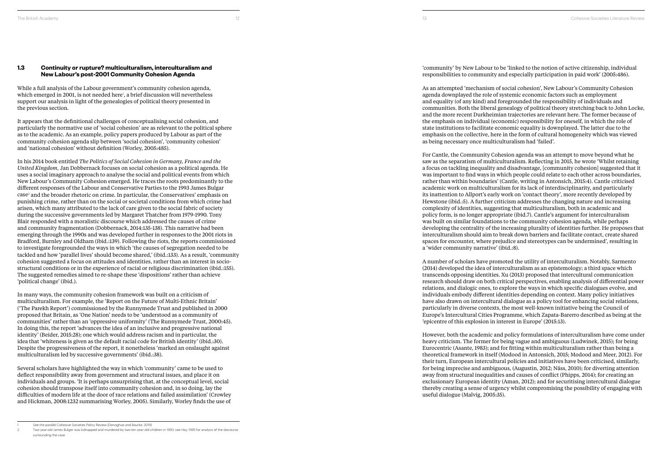#### **1.3 Continuity or rupture? multiculturalism, interculturalism and New Labour's post-2001 Community Cohesion Agenda**

While a full analysis of the Labour government's community cohesion agenda, which emerged in 2001, is not needed here', a brief discussion will nevertheless support our analysis in light of the genealogies of political theory presented in the previous section.

It appears that the definitional challenges of conceptualising social cohesion, and particularly the normative use of 'social cohesion' are as relevant to the political sphere as to the academic. As an example, policy papers produced by Labour as part of the community cohesion agenda slip between 'social cohesion', 'community cohesion' and 'national cohesion' without definition (Worley, 2005:485).

In his 2014 book entitled *The Politics of Social Cohesion in Germany, France and the United Kingdom,* Jan Dobbernack focuses on social cohesion as a political agenda. He uses a social imaginary approach to analyse the social and political events from which New Labour's Community Cohesion emerged. He traces the roots predominantly to the different responses of the Labour and Conservative Parties to the 1993 James Bulgar case<sup>2</sup> and the broader rhetoric on crime. In particular, the Conservatives' emphasis on punishing crime, rather than on the social or societal conditions from which crime had arisen, which many attributed to the lack of care given to the social fabric of society during the successive governments led by Margaret Thatcher from 1979-1990. Tony Blair responded with a moralistic discourse which addressed the causes of crime and community fragmentation (Dobbernack, 2014:135-138). This narrative had been emerging through the 1990s and was developed further in responses to the 2001 riots in Bradford, Burnley and Oldham (ibid.:139). Following the riots, the reports commissioned to investigate foregrounded the ways in which 'the causes of segregation needed to be tackled and how 'parallel lives' should become shared,' (ibid.:133). As a result, 'community cohesion suggested a focus on attitudes and identities, rather than an interest in sociostructural conditions or in the experience of racial or religious discrimination (ibid.:155). The suggested remedies aimed to re-shape these 'dispositions' rather than achieve 'political change' (ibid.).

In many ways, the community cohesion framework was built on a criticism of multiculturalism. For example, the 'Report on the Future of Multi-Ethnic Britain' ('The Parekh Report') commissioned by the Runnymede Trust and published in 2000 proposed that Britain, as 'One Nation' needs to be 'understood as a community of communities' rather than an 'oppressive uniformity' (The Runnymede Trust, 2000:45). In doing this, the report 'advances the idea of an inclusive and progressive national identity' (Beider, 2015:28); one which would address racism and in particular, the idea that 'whiteness is given as the default racial code for British identity' (ibid.:30). Despite the progressiveness of the report, it nonetheless 'marked an onslaught against multiculturalism led by successive governments' (ibid.:38).

Several scholars have highlighted the way in which 'community' came to be used to deflect responsibility away from government and structural issues, and place it on individuals and groups. 'It is perhaps unsurprising that, at the conceptual level, social cohesion should transpose itself into community cohesion and, in so doing, lay the difficulties of modern life at the door of race relations and failed assimilation' (Crowley and Hickman, 2008:1232 summarising Worley, 2005). Similarly, Worley finds the use of 'community' by New Labour to be 'linked to the notion of active citizenship, individual responsibilities to community and especially participation in paid work' (2005:486).

As an attempted 'mechanism of social cohesion', New Labour's Community Cohesion agenda downplayed the role of systemic economic factors such as employment and equality (of any kind) and foregrounded the responsibility of individuals and communities. Both the liberal genealogy of political theory stretching back to John Locke, and the more recent Durkheimian trajectories are relevant here. The former because of the emphasis on individual (economic) responsibility for oneself, in which the role of state institutions to facilitate economic equality is downplayed. The latter due to the emphasis on the collective, here in the form of cultural homogeneity which was viewed as being necessary once multiculturalism had 'failed'.

For Cantle, the Community Cohesion agenda was an attempt to move beyond what he saw as the separatism of multiculturalism. Reflecting in 2015, he wrote 'Whilst retaining a focus on tackling inequality and disadvantage, [community cohesion] suggested that it was important to find ways in which people could relate to each other across boundaries, rather than within boundaries' (Cantle, writing in Antonsich, 2015:4). Cantle criticised academic work on multiculturalism for its lack of interdisciplinarity, and particularly its inattention to Allport's early work on 'contact theory', more recently developed by Hewstone (ibid.:5). A further criticism addresses the changing nature and increasing complexity of identities, suggesting that multiculturalism, both in academic and policy form, is no longer appropriate (ibid.7). Cantle's argument for interculturalism was built on similar foundations to the community cohesion agenda, while perhaps developing the centrality of the increasing plurality of identities further. He proposes that interculturalism should aim to break down barriers and facilitate contact, create shared spaces for encounter, where prejudice and stereotypes can be undermined', resulting in a 'wider community narrative' (ibid.:8).

A number of scholars have promoted the utility of interculturalism. Notably, Sarmento (2014) developed the idea of interculturalism as an epistemology; a third space which transcends opposing identities. Xu (2013) proposed that intercultural communication research should draw on both critical perspectives, enabling analysis of differential power relations, and dialogic ones, to explore the ways in which specific dialogues evolve, and individuals embody different identities depending on context. Many policy initiatives have also drawn on intercultural dialogue as a policy tool for enhancing social relations, particularly in diverse contexts, the most well-known initiative being the Council of Europe's Intercultural Cities Programme, which Zapata-Barerro described as being at the 'epicentre of this explosion in interest in Europe' (2015:13).

However, both the academic and policy formulations of interculturalism have come under heavy criticism. The former for being vague and ambiguous (Ludwinek, 2015); for being Eurocentric (Asante, 1983); and for fitting within multiculturalism rather than being a theoretical framework in itself (Modood in Antonsich, 2015; Modood and Meer, 2012). For their turn, European intercultural policies and initiatives have been criticised, similarly, for being imprecise and ambiguous, (Augustin, 2012; Näss, 2010); for diverting attention away from structural inequalities and causes of conflict (Phipps, 2014); for creating an exclusionary European identity (Aman, 2012); and for securitising intercultural dialogue thereby creating a sense of urgency whilst compromising the possibility of engaging with useful dialogue (Malvig, 2005:35).

<sup>1</sup> See the parallel Cohesive Societies Policy Review (Donoghue and Bourke, 2019)

<sup>2</sup> Two-year-old James Bulger was kidnapped and murdered by two ten-year-old children in 1993: see Hay, 1995 for analysis of the discourse surrounding the case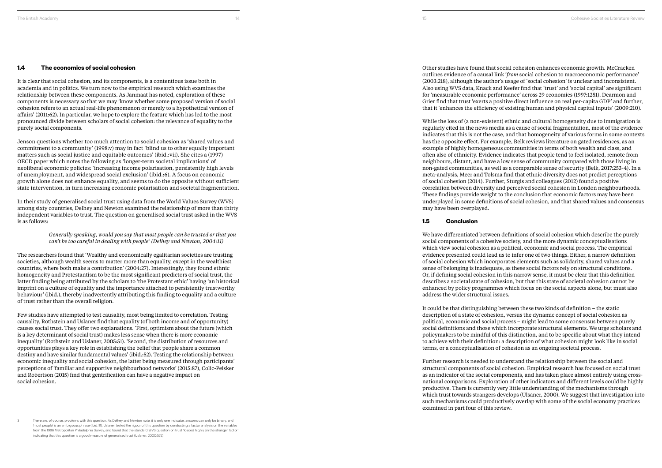#### **1.4 The economics of social cohesion**

It is clear that social cohesion, and its components, is a contentious issue both in academia and in politics. We turn now to the empirical research which examines the relationship between these components. As Janmaat has noted, exploration of these components is necessary so that we may 'know whether some proposed version of social cohesion refers to an actual real-life phenomenon or merely to a hypothetical version of affairs' (2011:62). In particular, we hope to explore the feature which has led to the most pronounced divide between scholars of social cohesion: the relevance of equality to the purely social components.

Jenson questions whether too much attention to social cohesion as 'shared values and commitment to a community' (1998:v) may in fact 'blind us to other equally important matters such as social justice and equitable outcomes' (ibid.:vii). She cites a (1997) OECD paper which notes the following as 'longer-term societal implications' of neoliberal economic policies: 'increasing income polarisation, persistently high levels of unemployment, and widespread social exclusion' (ibid.:6). A focus on economic growth alone does not enhance equality, and seems to do the opposite without sufficient state intervention, in turn increasing economic polarisation and societal fragmentation.

In their study of generalised social trust using data from the World Values Survey (WVS) among sixty countries, Delhey and Newton examined the relationship of more than thirty independent variables to trust. The question on generalised social trust asked in the WVS is as follows:

> *Generally speaking, would you say that most people can be trusted or that you can't be too careful in dealing with people*<sup>3</sup>  *(Delhey and Newton, 2004:11)*

The researchers found that 'Wealthy and economically egalitarian societies are trusting societies, although wealth seems to matter more than equality, except in the wealthiest countries, where both make a contribution' (2004:27). Interestingly, they found ethnic homogeneity and Protestantism to be the most significant predictors of social trust, the latter finding being attributed by the scholars to 'the Protestant ethic' having 'an historical imprint on a culture of equality and the importance attached to persistently trustworthy behaviour' (ibid.), thereby inadvertently attributing this finding to equality and a culture of trust rather than the overall religion.

Few studies have attempted to test causality, most being limited to correlation. Testing causality, Rothstein and Uslaner find that equality (of both income and of opportunity) causes social trust. They offer two explanations. 'First, optimism about the future (which is a key determinant of social trust) makes less sense when there is more economic inequality' (Rothstein and Uslaner, 2005:51). 'Second, the distribution of resources and opportunities plays a key role in establishing the belief that people share a common destiny and have similar fundamental values' (ibid.:52). Testing the relationship between economic inequality and social cohesion, the latter being measured through participants' perceptions of 'familiar and supportive neighbourhood networks' (2015:87), Colic-Peisker and Robertson (2015) find that gentrification can have a negative impact on social cohesion.

Other studies have found that social cohesion enhances economic growth. McCracken outlines evidence of a causal link '*from* social cohesion to macroeconomic performance' (2003:218), although the author's usage of 'social cohesion' is unclear and inconsistent. Also using WVS data, Knack and Keefer find that 'trust' and 'social capital' are significant for 'measurable economic performance' across 29 economies (1997:1251). Dearmon and Grier find that trust 'exerts a positive direct influence on real per-capita GDP' and further, that it 'enhances the efficiency of existing human and physical capital inputs' (2009:210).

While the loss of (a non-existent) ethnic and cultural homogeneity due to immigration is regularly cited in the news media as a cause of social fragmentation, most of the evidence indicates that this is not the case, and that homogeneity of various forms in some contexts has the opposite effect. For example, Belk reviews literature on gated residences, as an example of highly homogeneous communities in terms of both wealth and class, and often also of ethnicity. Evidence indicates that people tend to feel isolated, remote from neighbours, distant, and have a low sense of community compared with those living in non-gated communities, as well as a comparable sense of security (Belk, 2017:253-4). In a meta-analysis, Meer and Tolsma find that ethnic diversity does not predict perceptions of social cohesion (2014). Further, Sturgis and colleagues (2012) found a positive correlation between diversity and perceived social cohesion in London neighbourhoods. These findings provide weight to the conclusion that economic factors may have been underplayed in some definitions of social cohesion, and that shared values and consensus may have been overplayed.

#### **1.5 Conclusion**

We have differentiated between definitions of social cohesion which describe the purely social components of a cohesive society, and the more dynamic conceptualisations which view social cohesion as a political, economic and social process. The empirical evidence presented could lead us to infer one of two things. Either, a narrow definition of social cohesion which incorporates elements such as solidarity, shared values and a sense of belonging is inadequate, as these social factors rely on structural conditions. Or, if defining social cohesion in this narrow sense, it must be clear that this definition describes a societal state of cohesion, but that this state of societal cohesion cannot be enhanced by policy programmes which focus on the social aspects alone, but must also address the wider structural issues.

It could be that distinguishing between these two kinds of definition – the static description of a state of cohesion, versus the dynamic concept of social cohesion as political, economic and social process – might lead to some consensus between purely social definitions and those which incorporate structural elements. We urge scholars and policymakers to be mindful of this distinction, and to be specific about what they intend to achieve with their definition: a description of what cohesion might look like in social terms, or a conceptualisation of cohesion as an ongoing societal process.

Further research is needed to understand the relationship between the social and structural components of social cohesion. Empirical research has focused on social trust as an indicator of the social components, and has taken place almost entirely using crossnational comparisons. Exploration of other indicators and different levels could be highly productive. There is currently very little understanding of the mechanisms through which trust towards strangers develops (Ulsaner, 2000). We suggest that investigation into such mechanisms could productively overlap with some of the social economy practices examined in part four of this review.

There are, of course, problems with this question. As Delhey and Newton note, it is only one indicator, answers can only be binary, and 'most people' is an ambiguous phrase (ibid.:11). Uslaner tested the rigour of this question by conducting a factor analysis on the variables from the 1996 Metropolitan Philadelphia Survey, and found that the standard WVS question on trust 'loaded highly on the stranger factor indicating that this question is a good measure of generalised trust (Uslaner, 2000:575)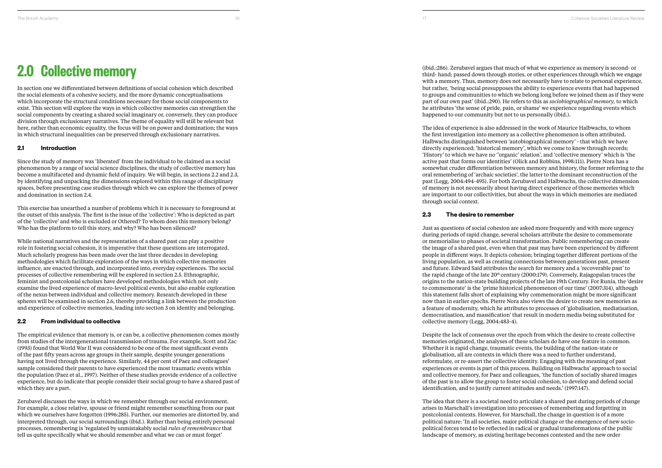# **2.0 Collective memory**

In section one we differentiated between definitions of social cohesion which described the social elements of a cohesive society, and the more dynamic conceptualisations which incorporate the structural conditions necessary for those social components to exist. This section will explore the ways in which collective memories can strengthen the social components by creating a shared social imaginary or, conversely, they can produce division through exclusionary narratives. The theme of equality will still be relevant but here, rather than economic equality, the focus will be on power and domination; the ways in which structural inequalities can be preserved through exclusionary narratives.

#### **2.1 Introduction**

Since the study of memory was 'liberated' from the individual to be claimed as a social phenomenon by a range of social science disciplines, the study of collective memory has become a multifaceted and dynamic field of inquiry. We will begin, in sections 2.2 and 2.3, by identifying and unpacking the dimensions explored within this range of disciplinary spaces, before presenting case studies through which we can explore the themes of power and domination in section 2.4.

This exercise has unearthed a number of problems which it is necessary to foreground at the outset of this analysis. The first is the issue of the 'collective': Who is depicted as part of the 'collective' and who is excluded or Othered? To whom does this memory belong? Who has the platform to tell this story, and why? Who has been silenced?

While national narratives and the representation of a shared past can play a positive role in fostering social cohesion, it is imperative that these questions are interrogated. Much scholarly progress has been made over the last three decades in developing methodologies which facilitate exploration of the ways in which collective memories influence, are enacted through, and incorporated into, everyday experiences. The social processes of collective remembering will be explored in section 2.5. Ethnographic, feminist and postcolonial scholars have developed methodologies which not only examine the lived experience of macro-level political events, but also enable exploration of the nexus between individual and collective memory. Research developed in these spheres will be examined in section 2.6, thereby providing a link between the production and experience of collective memories, leading into section 3 on identity and belonging.

#### **2.2 From individual to collective**

The empirical evidence that memory is, or can be, a collective phenomenon comes mostly from studies of the intergenerational transmission of trauma. For example, Scott and Zac (1993) found that World War II was considered to be one of the most significant events of the past fifty years across age groups in their sample, despite younger generations having not lived through the experience. Similarly, 44 per cent of Paez and colleagues' sample considered their parents to have experienced the most traumatic events within the population (Paez et al., 1997). Neither of these studies provide evidence of a collective experience, but do indicate that people consider their social group to have a shared past of which they are a part.

Despite the lack of consensus over the epoch from which the desire to create collective memories originated, the analyses of these scholars do have one feature in common. Whether it is rapid change, traumatic events, the building of the nation-state or globalisation, all are contexts in which there was a need to further understand, reformulate, or re-assert the collective identity. Engaging with the meaning of past experiences or events is part of this process. Building on Halbwachs' approach to social and collective memory, for Paez and colleagues, 'the function of socially shared images of the past is to allow the group to foster social cohesion, to develop and defend social identification, and to justify current attitudes and needs.' (1997:147).

Zerubavel discusses the ways in which we remember through our social environment. For example, a close relative, spouse or friend might remember something from our past which we ourselves have forgotten (1996:285). Further, our memories are distorted by, and interpreted through, our social surroundings (ibid.). Rather than being entirely personal processes, remembering is 'regulated by unmistakably social *rules of remembrance* that tell us quite specifically what we should remember and what we can or must forget'

(ibid.:286). Zerubavel argues that much of what we experience as memory is second- or third- hand; passed down through stories, or other experiences through which we engage with a memory. Thus, memory does not necessarily have to relate to personal experience, but rather, 'being social presupposes the ability to experience events that had happened to groups and communities to which we belong long before we joined them as if they were part of our own past' (ibid.:290). He refers to this as *sociobiographical memory,* to which he attributes 'the sense of pride, pain, or shame' we experience regarding events which happened to our community but not to us personally (ibid.).

The idea of experience is also addressed in the work of Maurice Halbwachs, to whom the first investigation into memory as a collective phenomenon is often attributed. Halbwachs distinguished between 'autobiographical memory' - that which we have directly experienced; 'historical memory', which we come to know through records; 'History' to which we have no ''organic' relation', and 'collective memory' which is 'the active past that forms our identities' (Olick and Robbins, 1998:111). Pierre Nora has a somewhat cruder differentiation between memory and history, the former referring to the oral remembering of 'archaic societies', the latter to the dominant reconstruction of the past (Legg, 2004:494-495). For both Zerubavel and Halbwachs, the collective dimension of memory is not necessarily about having direct experience of those memories which are important to our collectivities, but about the ways in which memories are mediated through social context.

#### **2.3 The desire to remember**

Just as questions of social cohesion are asked more frequently and with more urgency during periods of rapid change, several scholars attribute the desire to commemorate or memorialise to phases of societal transformation. Public remembering can create the image of a shared past, even when that past may have been experienced by different people in different ways. It depicts cohesion; bringing together different portions of the living population, as well as creating connections between generations past, present and future. Edward Said attributes the search for memory and a 'recoverable past' to the rapid change of the late  $20<sup>th</sup>$  century (2000:179). Conversely, Rajagopalan traces the origins to the nation-state building projects of the late 19th Century. For Runia, the 'desire to commemorate' is the 'prime historical phenomenon of our time' (2007:314), although this statement falls short of explaining why commemoration might be more significant now than in earlier epochs. Pierre Nora also views the desire to create new memories as a feature of modernity, which he attributes to processes of 'globalisation, mediatisation, democratisation, and massification' that result in modern media being substituted for collective memory (Legg, 2004:483-4).

The idea that there is a societal need to articulate a shared past during periods of change arises in Marschall's investigation into processes of remembering and forgetting in postcolonial contexts. However, for Marschall, the change in question is of a more political nature: 'In all societies, major political change or the emergence of new sociopolitical forces tend to be reflected in radical or gradual transformations of the public landscape of memory, as existing heritage becomes contested and the new order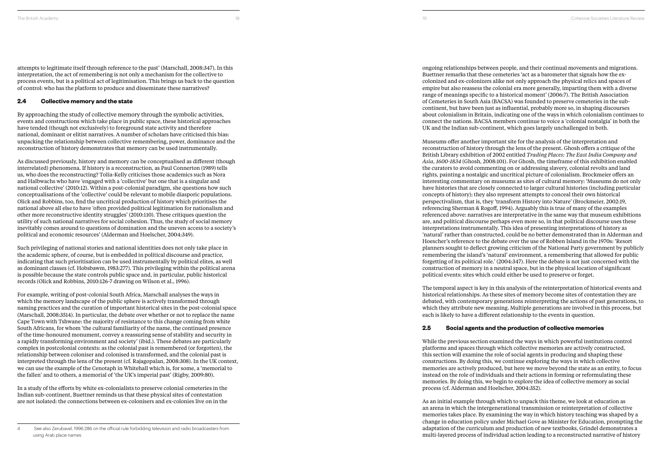attempts to legitimate itself through reference to the past' (Marschall, 2008:347). In this interpretation, the act of remembering is not only a mechanism for the collective to process events, but is a political act of legitimisation. This brings us back to the question of control: who has the platform to produce and disseminate these narratives?

#### **2.4 Collective memory and the state**

By approaching the study of collective memory through the symbolic activities, events and constructions which take place in public space, these historical approaches have tended (though not exclusively) to foreground state activity and therefore national, dominant or elitist narratives. A number of scholars have criticised this bias: unpacking the relationship between collective remembering, power, dominance and the reconstruction of history demonstrates that memory can be used instrumentally.

As discussed previously, history and memory can be conceptualised as different (though interrelated) phenomena. If history is a reconstruction, as Paul Connerton (1989) tells us, who does the reconstructing? ToIia-Kelly criticises those academics such as Nora and Halbwachs who have 'engaged with a 'collective' but one that is a singular and national collective' (2010:12). Within a post-colonial paradigm, she questions how such conceptualisations of the 'collective' could be relevant to mobile diasporic populations. Olick and Robbins, too, find the uncritical production of history which prioritises the national above all else to have 'often provided political legitimation for nationalism and other more reconstructive identity struggles' (2010:110). These critiques question the utility of such national narratives for social cohesion. Thus, the study of social memory inevitably comes around to questions of domination and the uneven access to a society's political and economic resources' (Alderman and Hoelscher, 2004:349).

Such privileging of national stories and national identities does not only take place in the academic sphere, of course, but is embedded in political discourse and practice, indicating that such prioritisation can be used instrumentally by political elites, as well as dominant classes (cf. Hobsbawm, 1983:277). This privileging within the political arena is possible because the state controls public space and, in particular, public historical records (Olick and Robbins, 2010:126-7 drawing on Wilson et al., 1996).

For example, writing of post-colonial South Africa, Marschall analyses the ways in which the memory landscape of the public sphere is actively transformed through naming practices and the curation of important historical sites in the post-colonial space (Marschall, 2008:3514). In particular, the debate over whether or not to replace the name Cape Town with Tshwane: the majority of resistance to this change coming from white South Africans, for whom 'the cultural familiarity of the name, the continued presence of the time-honoured monument, convey a reassuring sense of stability and security in a rapidly transforming environment and society' (ibid.). These debates are particularly complex in postcolonial contexts: as the colonial past is remembered (or forgotten), the relationship between coloniser and colonised is transformed, and the colonial past is interpreted through the lens of the present (cf. Rajagopalan, 2008:308). In the UK context, we can use the example of the Cenotaph in Whitehall which is, for some, a 'memorial to the fallen' and to others, a memorial of 'the UK's imperial past' (Rigby, 2009:80).

In a study of the efforts by white ex-colonialists to preserve colonial cemeteries in the Indian sub-continent, Buettner reminds us that these physical sites of contestation are not isolated: the connections between ex-colonisers and ex-colonies live on in the ongoing relationships between people, and their continual movements and migrations. Buettner remarks that these cemeteries 'act as a barometer that signals how the excolonized and ex-colonizers alike not only approach the physical relics and spaces of empire but also reassess the colonial era more generally, imparting them with a diverse range of meanings specific to a historical moment' (2006:7). The British Association of Cemeteries in South Asia (BACSA) was founded to preserve cemeteries in the subcontinent, but have been just as influential, probably more so, in shaping discourses about colonialism in Britain, indicating one of the ways in which colonialism continues to connect the nations. BACSA members continue to voice a 'colonial nostalgia' in both the UK and the Indian sub-continent, which goes largely unchallenged in both.

Museums offer another important site for the analysis of the interpretation and reconstruction of history through the lens of the present. Ghosh offers a critique of the British Library exhibition of 2002 entitled *Trading Places: The East India Company and Asia, 1600-1834* (Ghosh, 2008:101). For Ghosh, the timeframe of this exhibition enabled the curators to avoid commenting on or addressing slavery, colonial revolts and land rights, painting a nostalgic and uncritical picture of colonialism. Brockmeier offers an interesting commentary on museums as sites of cultural memory: 'Museums do not only have histories that are closely connected to larger cultural histories (including particular concepts of history); they also represent attempts to conceal their own historical perspectivalism, that is, they 'transform History into Nature' (Brockmeier, 2002:19, referencing Sherman & Rogoff, 1994). Arguably this is true of many of the examples referenced above: narratives are interpretative in the same way that museum exhibitions are, and political discourse perhaps even more so, in that political discourse uses these interpretations instrumentally. This idea of presenting interpretations of history as 'natural' rather than constructed, could be no better demonstrated than in Alderman and Hoescher's reference to the debate over the use of Robben Island in the 1970s: 'Resort planners sought to deflect growing criticism of the National Party government by publicly remembering the island's 'natural' environment, a remembering that allowed for public forgetting of its political role.' (2004:347). Here the debate is not just concerned with the construction of memory in a neutral space, but in the physical location of significant political events: sites which could either be used to preserve or forget.

The temporal aspect is key in this analysis of the reinterpretation of historical events and historical relationships. As these sites of memory become sites of contestation they are debated, with contemporary generations reinterpreting the actions of past generations, to which they attribute new meaning. Multiple generations are involved in this process, but each is likely to have a different relationship to the events in question.

### **2.5 Social agents and the production of collective memories**

While the previous section examined the ways in which powerful institutions control platforms and spaces through which collective memories are actively constructed, this section will examine the role of social agents in producing and shaping these constructions. By doing this, we continue exploring the ways in which collective memories are actively produced, but here we move beyond the state as an entity, to focus instead on the role of individuals and their actions in forming or reformulating these memories. By doing this, we begin to explore the idea of collective memory as social process (cf. Alderman and Hoelscher, 2004:352).

As an initial example through which to unpack this theme, we look at education as an arena in which the intergenerational transmission or reinterpretation of collective memories takes place. By examining the way in which history teaching was shaped by a change in education policy under Michael Gove as Minister for Education, prompting the adaptation of the curriculum and production of new textbooks, Grindel demonstrates a multi-layered process of individual action leading to a reconstructed narrative of history

<sup>4</sup> See also Zerubavel, 1996:286 on the official rule forbidding television and radio broadcasters from using Arab place names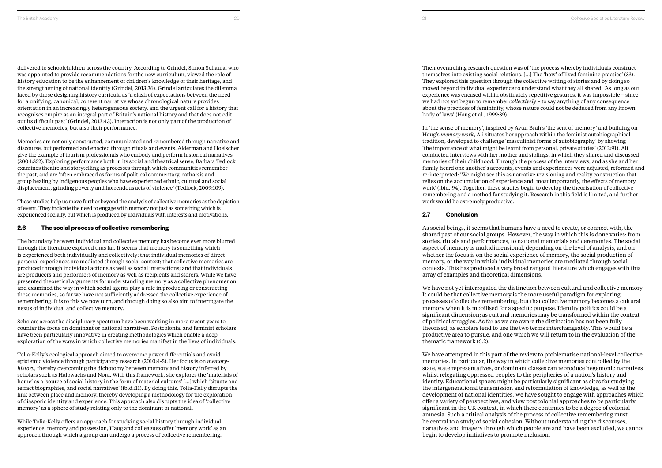delivered to schoolchildren across the country. According to Grindel, Simon Schama, who was appointed to provide recommendations for the new curriculum, viewed the role of history education to be the enhancement of children's knowledge of their heritage, and the strengthening of national identity (Grindel, 2013:36). Grindel articulates the dilemma faced by those designing history curricula as 'a clash of expectations between the need for a unifying, canonical, coherent narrative whose chronological nature provides orientation in an increasingly heterogeneous society, and the urgent call for a history that recognises empire as an integral part of Britain's national history and that does not edit out its difficult past' (Grindel, 2013:43). Interaction is not only part of the production of collective memories, but also their performance.

Memories are not only constructed, communicated and remembered through narrative and discourse, but performed and enacted through rituals and events. Alderman and Hoelscher give the example of tourism professionals who embody and perform historical narratives (2004:352). Exploring performance both in its social and theatrical sense, Barbara Tedlock examines theatre and storytelling as processes through which communities remember the past, and are 'often embraced as forms of political commentary, catharsis and group healing by indigenous peoples who have experienced ethnic, cultural and social displacement, grinding poverty and horrendous acts of violence' (Tedlock, 2009:109).

These studies help us move further beyond the analysis of collective memories as the depiction of event. They indicate the need to engage with memory not just as something which is experienced socially, but which is produced by individuals with interests and motivations.

### **2.6 The social process of collective remembering**

The boundary between individual and collective memory has become ever more blurred through the literature explored thus far. It seems that memory is something which is experienced both individually and collectively: that individual memories of direct personal experiences are mediated through social context; that collective memories are produced through individual actions as well as social interactions; and that individuals are producers and performers of memory as well as recipients and storers. While we have presented theoretical arguments for understanding memory as a collective phenomenon, and examined the way in which social agents play a role in producing or constructing these memories, so far we have not sufficiently addressed the collective experience of remembering. It is to this we now turn, and through doing so also aim to interrogate the nexus of individual and collective memory.

Scholars across the disciplinary spectrum have been working in more recent years to counter the focus on dominant or national narratives. Postcolonial and feminist scholars have been particularly innovative in creating methodologies which enable a deep exploration of the ways in which collective memories manifest in the lives of individuals.

Tolia-Kelly's ecological approach aimed to overcome power differentials and avoid epistemic violence through participatory research (2010:4-5). Her focus is on *memoryhistory,* thereby overcoming the dichotomy between memory and history inferred by scholars such as Halbwachs and Nora. With this framework, she explores the 'materials of home' as a 'source of social history in the form of material cultures' […] which 'situate and refract biographies, and social narratives' (ibid.:11). By doing this, Tolia-Kelly disrupts the link between place and memory, thereby developing a methodology for the exploration of diasporic identity and experience. This approach also disrupts the idea of 'collective memory' as a sphere of study relating only to the dominant or national.

While Tolia-Kelly offers an approach for studying social history through individual experience, memory and possession, Haug and colleagues offer 'memory work' as an approach through which a group can undergo a process of collective remembering.

Their overarching research question was of 'the process whereby individuals construct themselves into existing social relations. […] The 'how' of lived feminine practice' (33). They explored this question through the collective writing of stories and by doing so moved beyond individual experience to understand what they all shared: 'As long as our experience was encased within obstinately repetitive gestures, it was impossible – since we had not yet begun to remember *collectively* – to say anything of any consequence about the practices of femininity, whose nature could not be deduced from any known

body of laws' (Haug et al., 1999:39).

In 'the sense of memory', inspired by Avtar Brah's 'the sent of memory' and building on Haug's *memory work*, Ali situates her approach within the feminist autobiographical tradition, developed to challenge 'masculinist forms of autobiography' by showing 'the importance of what might be learnt from personal, private stories' (2012:91). Ali conducted interviews with her mother and siblings, in which they shared and discussed memories of their childhood. Through the process of the interviews, and as she and her family heard one another's accounts, events and experiences were adjusted, reformed and re-interpreted: 'We might see this as narrative revisioning and reality construction that relies on the accumulation of experience and, most importantly, the effects of memory work' (ibid.:94). Together, these studies begin to develop the theorisation of collective remembering and a method for studying it. Research in this field is limited, and further work would be extremely productive.

#### **2.7 Conclusion**

As social beings, it seems that humans have a need to create, or connect with, the shared past of our social groups. However, the way in which this is done varies: from stories, rituals and performances, to national memorials and ceremonies. The social aspect of memory is multidimensional, depending on the level of analysis, and on whether the focus is on the social experience of memory, the social production of memory, or the way in which individual memories are mediated through social contexts. This has produced a very broad range of literature which engages with this array of examples and theoretical dimensions.

We have not yet interrogated the distinction between cultural and collective memory. It could be that collective memory is the more useful paradigm for exploring processes of collective remembering, but that collective memory becomes a cultural memory when it is mobilised for a specific purpose. Identity politics could be a significant dimension; as cultural memories may be transformed within the context of political struggles. As far as we are aware the distinction has not been fully theorised, as scholars tend to use the two terms interchangeably. This would be a productive area to pursue, and one which we will return to in the evaluation of the thematic framework (6.2).

We have attempted in this part of the review to problematise national-level collective memories. In particular, the way in which collective memories controlled by the state, state representatives, or dominant classes can reproduce hegemonic narratives whilst relegating oppressed peoples to the peripheries of a nation's history and identity. Educational spaces might be particularly significant as sites for studying the intergenerational transmission and reformulation of knowledge, as well as the development of national identities. We have sought to engage with approaches which offer a variety of perspectives, and view postcolonial approaches to be particularly significant in the UK context, in which there continues to be a degree of colonial amnesia. Such a critical analysis of the process of collective remembering must be central to a study of social cohesion. Without understanding the discourses, narratives and imagery through which people are and have been excluded, we cannot begin to develop initiatives to promote inclusion.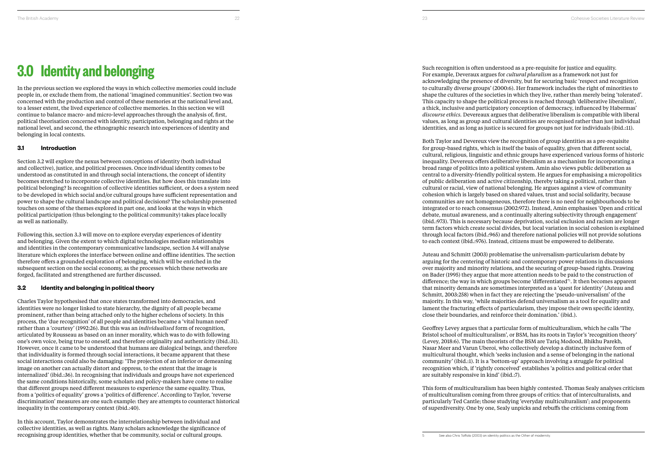See also Chris Toffolo (2003) on identity politics as the Other of modernity

# **3.0 Identity and belonging**

In the previous section we explored the ways in which collective memories could include people in, or exclude them from, the national 'imagined communities'. Section two was concerned with the production and control of these memories at the national level and, to a lesser extent, the lived experience of collective memories. In this section we will continue to balance macro- and micro-level approaches through the analysis of, first, political theorisation concerned with identity, participation, belonging and rights at the national level, and second, the ethnographic research into experiences of identity and belonging in local contexts.

#### **3.1 Introduction**

Section 3.2 will explore the nexus between conceptions of identity (both individual and collective), justice, and political processes. Once individual identity comes to be understood as constituted in and through social interactions, the concept of identity becomes stretched to incorporate collective identities. But how does this translate into political belonging? Is recognition of collective identities sufficient, or does a system need to be developed in which social and/or cultural groups have sufficient representation and power to shape the cultural landscape and political decisions? The scholarship presented touches on some of the themes explored in part one, and looks at the ways in which political participation (thus belonging to the political community) takes place locally as well as nationally.

Following this, section 3.3 will move on to explore everyday experiences of identity and belonging. Given the extent to which digital technologies mediate relationships and identities in the contemporary communicative landscape, section 3.4 will analyse literature which explores the interface between online and offline identities. The section therefore offers a grounded exploration of belonging, which will be enriched in the subsequent section on the social economy, as the processes which these networks are forged, facilitated and strengthened are further discussed.

#### **3.2 Identity and belonging in political theory**

Charles Taylor hypothesised that once states transformed into democracies, and identities were no longer linked to state hierarchy, the dignity of all people became prominent, rather than being attached only to the higher echelons of society. In this process, the 'due recognition' of all people and identities became a 'vital human need' rather than a 'courtesy' (1992:26). But this was an *individualised* form of recognition, articulated by Rousseau as based on an inner morality, which was to do with following one's own voice, being true to oneself, and therefore originality and authenticity (ibid.:31). However, once it came to be understood that humans are dialogical beings, and therefore that individuality is formed through social interactions, it became apparent that these social interactions could also be damaging: 'The projection of an inferior or demeaning image on another can actually distort and oppress, to the extent that the image is internalized' (ibid.:36). In recognising that individuals and groups have not experienced the same conditions historically, some scholars and policy-makers have come to realise that different groups need different measures to experience the same equality. Thus, from a 'politics of equality' grows a 'politics of difference'. According to Taylor, 'reverse discrimination' measures are one such example: they are attempts to counteract historical inequality in the contemporary context (ibid.:40).

In this account, Taylor demonstrates the interrelationship between individual and collective identities, as well as rights. Many scholars acknowledge the significance of recognising group identities, whether that be community, social or cultural groups.

Such recognition is often understood as a pre-requisite for justice and equality. For example, Deveraux argues for *cultural pluralism* as a framework not just for acknowledging the presence of diversity, but for securing basic 'respect and recognition to culturally diverse groups' (2000:6). Her framework includes the right of minorities to shape the cultures of the societies in which they live, rather than merely being 'tolerated'. This capacity to shape the political process is reached through 'deliberative liberalism', a thick, inclusive and participatory conception of democracy, influenced by Habermas' *discourse ethics.* Devereaux argues that deliberative liberalism is compatible with liberal values, as long as group and cultural identities are recognised rather than just individual identities, and as long as justice is secured for groups not just for individuals (ibid.:11).

Both Taylor and Devereux view the recognition of group identities as a pre-requisite for group-based rights, which is itself the basis of equality, given that different social, cultural, religious, linguistic and ethnic groups have experienced various forms of historic inequality. Devereux offers deliberative liberalism as a mechanism for incorporating a broad range of politics into a political system. Amin also views public deliberation as central to a diversity-friendly political system. He argues for emphasising a micropolitics of public deliberation and active citizenship, thereby taking a political, rather than cultural or racial, view of national belonging. He argues against a view of community cohesion which is largely based on shared values, trust and social solidarity, because communities are not homogeneous, therefore there is no need for neighbourhoods to be integrated or to reach consensus (2002:972). Instead, Amin emphasises 'Open and critical debate, mutual awareness, and a continually altering subjectivity through engagement' (ibid.:973). This is necessary because deprivation, social exclusion and racism are longer term factors which create social divides, but local variation in social cohesion is explained through local factors (ibid.:965) and therefore national policies will not provide solutions to each context (ibid.:976). Instead, citizens must be empowered to deliberate.

Juteau and Schmitt (2003) problematise the universalism-particularism debate by arguing for the centering of historic and contemporary power relations in discussions over majority and minority relations, and the securing of group-based rights. Drawing on Bader (1995) they argue that more attention needs to be paid to the construction of difference; the way in which groups become 'differentiated' 5 . It then becomes apparent that minority demands are sometimes interpreted as a 'quest for identity' (Juteau and Schmitt, 2003:258) when in fact they are rejecting the 'pseudo-universalism' of the majority. In this way, 'while majorities defend universalism as a tool for equality and lament the fracturing effects of particularism, they impose their own specific identity, close their boundaries, and reinforce their domination.' (ibid.).

Geoffrey Levey argues that a particular form of multiculturalism, which he calls 'The Bristol school of multiculturalism', or BSM, has its roots in Taylor's 'recognition theory' (Levey, 2018:6). The main theorists of the BSM are Tariq Modood, Bhikhu Parekh, Nasar Meer and Varun Uberoi, who collectively develop a distinctly inclusive form of multicultural thought, which 'seeks inclusion and a sense of belonging in the national community' (ibid.:1). It is a 'bottom-up' approach involving a struggle for political recognition which, if 'rightly conceived' establishes 'a politics and political order that are suitably responsive in kind' (ibid.:7).

This form of multiculturalism has been highly contested. Thomas Sealy analyses criticism of multiculturalism coming from three groups of critics: that of interculturalists, and particularly Ted Cantle; those studying 'everyday multiculturalism'; and proponents of superdiversity. One by one, Sealy unpicks and rebuffs the criticisms coming from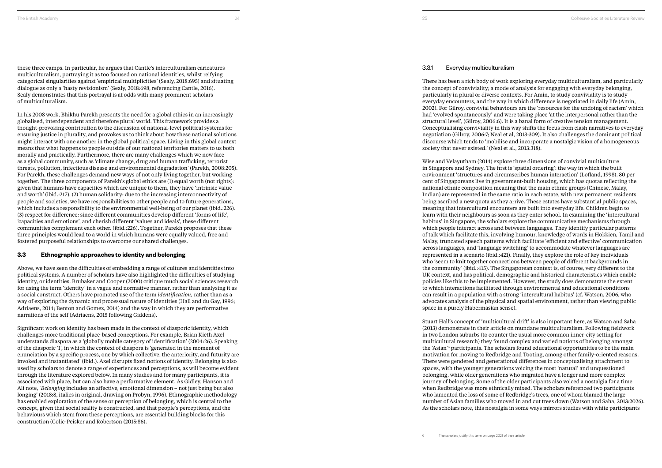these three camps. In particular, he argues that Cantle's interculturalism caricatures multiculturalism, portraying it as too focused on national identities, whilst reifying categorical singularities against 'empirical multiplicities' (Sealy, 2018:695) and situating dialogue as only a 'hasty revisionism' (Sealy, 2018:698, referencing Cantle, 2016). Sealy demonstrates that this portrayal is at odds with many prominent scholars of multiculturalism.

In his 2008 work, Bhikhu Parekh presents the need for a global ethics in an increasingly globalised, interdependent and therefore plural world. This framework provides a thought-provoking contribution to the discussion of national-level political systems for ensuring justice in plurality, and provokes us to think about how these national solutions might interact with one another in the global political space. Living in this global context means that what happens to people outside of our national territories matters to us both morally and practically. Furthermore, there are many challenges which we now face as a global community, such as 'climate change, drug and human trafficking, terrorist threats, pollution, infectious disease and environmental degradation' (Parekh, 2008:205). For Parekh, these challenges demand new ways of not only living together, but working together. The three components of Parekh's global ethics are (1) equal worth (not rights): given that humans have capacities which are unique to them, they have 'intrinsic value and worth' (ibid.:217). (2) human solidarity: due to the increasing interconnectivity of people and societies, we have responsibilities to other people and to future generations, which includes a responsibility to the environmental well-being of our planet (ibid.:226). (3) respect for difference: since different communities develop different 'forms of life', 'capacities and emotions', and cherish different 'values and ideals', these different communities complement each other. (ibid.:226). Together, Parekh proposes that these three principles would lead to a world in which humans were equally valued, free and fostered purposeful relationships to overcome our shared challenges.

#### **3.3 Ethnographic approaches to identity and belonging**

Above, we have seen the difficulties of embedding a range of cultures and identities into political systems. A number of scholars have also highlighted the difficulties of studying identity, or identities. Brubaker and Cooper (2000) critique much social sciences research for using the term 'identity' in a vague and normative manner, rather than analysing it as a social construct. Others have promoted use of the term *identification,* rather than as a way of exploring the dynamic and processual nature of identities (Hall and du Gay, 1996; Adriaens, 2014; Benton and Gomez, 2014) and the way in which they are performative narrations of the self (Adriaens, 2015 following Giddens).

Significant work on identity has been made in the context of diasporic identity, which challenges more traditional place-based conceptions. For example, Brian Kieth Axel understands diaspora as a 'globally mobile category of identification' (2004:26). Speaking of the diasporic 'I', in which the context of diaspora is 'generated in the moment of enunciation by a specific process, one by which collective, the anteriority, and futurity are invoked and instantiated' (ibid.). Axel disrupts fixed notions of identity. Belonging is also used by scholars to denote a range of experiences and perceptions, as will become evident through the literature explored below. In many studies and for many participants, it is associated with place, but can also have a performative element. As Gidley, Hanson and Ali note, '*Belonging* includes an affective, emotional dimension – not just being but also longing' (2018:8, italics in original, drawing on Probyn, 1996). Ethnographic methodology has enabled exploration of the sense or perception of belonging, which is central to the concept, given that social reality is constructed, and that people's perceptions, and the behaviours which stem from these perceptions, are essential building blocks for this construction (Colic-Peisker and Robertson (2015:86).

The scholars justify this term on page 2021 of their article

#### 3.3.1 Everyday multiculturalism

There has been a rich body of work exploring everyday multiculturalism, and particularly the concept of conviviality; a mode of analysis for engaging with everyday belonging, particularly in plural or diverse contexts. For Amin, to study conviviality is to study everyday encounters, and the way in which difference is negotiated in daily life (Amin, 2002). For Gilroy, convivial behaviours are the 'resources for the undoing of racism' which had 'evolved spontaneously' and were taking place 'at the interpersonal rather than the structural level', (Gilroy, 2006:6). It is a banal form of creative tension management. Conceptualising conviviality in this way shifts the focus from clash narratives to everyday negotiation (Gilroy, 2006:7; Neal et al, 2013:309). It also challenges the dominant political discourse which tends to 'mobilise and incorporate a nostalgic vision of a homogeneous society that never existed.' (Neal et al., 2013:318).

Wise and Velayutham (2014) explore three dimensions of convivial multiculture in Singapore and Sydney. The first is 'spatial ordering': the way in which the built environment 'structures and circumscribes human interaction' (Lofland, 1998). 80 per cent of Singaporeans live in government-built housing, which has quotas reflecting the national ethnic composition meaning that the main ethnic groups (Chinese, Malay, Indian) are represented in the same ratio in each estate, with new permanent residents being ascribed a new quota as they arrive. These estates have substantial public spaces, meaning that intercultural encounters are built into everyday life. Children begin to learn with their neighbours as soon as they enter school. In examining the 'intercultural habitus' in Singapore, the scholars explore the communicative mechanisms through which people interact across and between languages. They identify particular patterns of talk which facilitate this, involving humour, knowledge of words in Hokkien, Tamil and Malay, truncated speech patterns which facilitate 'efficient and effective' communication across languages, and 'language switching' to accommodate whatever languages are represented in a scenario (ibid.:421). Finally, they explore the role of key individuals who 'seem to knit together connections between people of different backgrounds in the community' (ibid.:415). The Singaporean context is, of course, very different to the UK context, and has political, demographic and historical characteristics which enable policies like this to be implemented. However, the study does demonstrate the extent to which interactions facilitated through environmental and educational conditions can result in a population with a strong 'intercultural habitus' (cf. Watson, 2006, who advocates analysis of the physical and spatial environment, rather than viewing public space in a purely Habermasian sense).

Stuart Hall's concept of 'multicultural drift' is also important here, as Watson and Saha (2013) demonstrate in their article on mundane multiculturalism. Following fieldwork in two London suburbs (to counter the usual more common inner-city setting for multicultural research) they found complex and varied notions of belonging amongst the 'Asian' <sup>6</sup> participants. The scholars found educational opportunities to be the main motivation for moving to Redbridge and Tooting, among other family-oriented reasons. There were gendered and generational differences in conceptualising attachment to spaces, with the younger generations voicing the most 'natural' and unquestioned belonging, while older generations who migrated have a longer and more complex journey of belonging. Some of the older participants also voiced a nostalgia for a time when Redbridge was more ethnically mixed. The scholars referenced two participants who lamented the loss of some of Redbridge's trees, one of whom blamed the large number of Asian families who moved in and cut trees down (Watson and Saha, 2013:2026). As the scholars note, this nostalgia in some ways mirrors studies with white participants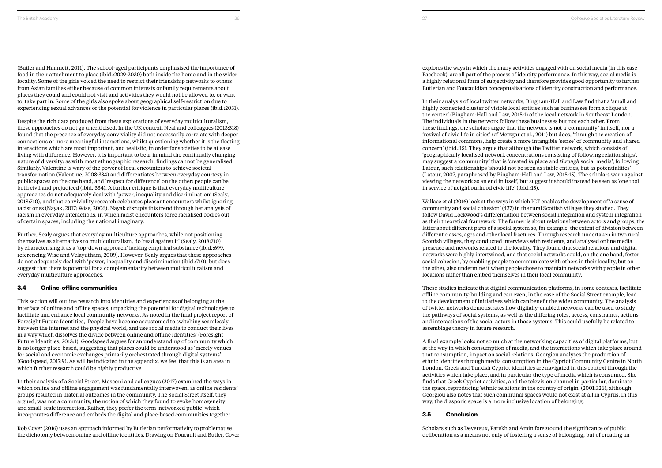(Butler and Hamnett, 2011). The school-aged participants emphasised the importance of food in their attachment to place (ibid.:2029-2030) both inside the home and in the wider locality. Some of the girls voiced the need to restrict their friendship networks to others from Asian families either because of common interests or family requirements about places they could and could not visit and activities they would not be allowed to, or want to, take part in. Some of the girls also spoke about geographical self-restriction due to experiencing sexual advances or the potential for violence in particular places (ibid.:2031).

Despite the rich data produced from these explorations of everyday multiculturalism, these approaches do not go uncriticised. In the UK context, Neal and colleagues (2013:318) found that the presence of everyday conviviality did not necessarily correlate with deeper connections or more meaningful interactions, whilst questioning whether it is the fleeting interactions which are most important, and realistic, in order for societies to be at ease living with difference. However, it is important to bear in mind the continually changing nature of diversity: as with most ethnographic research, findings cannot be generalised. Similarly, Valentine is wary of the power of local encounters to achieve societal transformation (Valentine, 2008:334) and differentiates between everyday courtesy in public spaces on the one hand, and 'respect for difference' on the other: people can be both civil and prejudiced (ibid.:334). A further critique is that everyday multiculture approaches do not adequately deal with 'power, inequality and discrimination' (Sealy, 2018:710), and that conviviality research celebrates pleasant encounters whilst ignoring racist ones (Nayak, 2017; Wise, 2006). Nayak disrupts this trend through her analysis of racism in everyday interactions, in which racist encounters force racialised bodies out of certain spaces, including the national imaginary.

Further, Sealy argues that everyday multiculture approaches, while not positioning themselves as alternatives to multiculturalism, do 'read against it' (Sealy, 2018:710) by characterising it as a 'top-down approach' lacking empirical substance (ibid.:699, referencing Wise and Velayutham, 2009). However, Sealy argues that these approaches do not adequately deal with 'power, inequality and discrimination (ibid.:710), but does suggest that there is potential for a complementarity between multiculturalism and everyday multiculture approaches.

#### **3.4 Online-offline communities**

This section will outline research into identities and experiences of belonging at the interface of online and offline spaces, unpacking the potential for digital technologies to facilitate and enhance local community networks. As noted in the final project report of Foresight Future Identities, 'People have become accustomed to switching seamlessly between the internet and the physical world, and use social media to conduct their lives in a way which dissolves the divide between online and offline identities' (Foresight Future Identities, 2013:1). Goodspeed argues for an understanding of community which is no longer place-based, suggesting that places could be understood as 'merely venues for social and economic exchanges primarily orchestrated through digital systems' (Goodspeed, 2017:9). As will be indicated in the appendix, we feel that this is an area in which further research could be highly productive

In their analysis of a Social Street, Mosconi and colleagues (2017) examined the ways in which online and offline engagement was fundamentally interwoven, as online residents' groups resulted in material outcomes in the community. The Social Street itself, they argued, was not a community, the notion of which they found to evoke homogeneity and small-scale interaction. Rather, they prefer the term 'networked public' which incorporates difference and embeds the digital and place-based communities together.

Rob Cover (2016) uses an approach informed by Butlerian performativity to problematise the dichotomy between online and offline identities. Drawing on Foucault and Butler, Cover explores the ways in which the many activities engaged with on social media (in this case Facebook), are all part of the process of identity performance. In this way, social media is a highly relational form of subjectivity and therefore provides good opportunity to further Butlerian and Foucauldian conceptualisations of identity construction and performance.

In their analysis of local twitter networks, Bingham-Hall and Law find that a 'small and highly connected cluster of visible local entities such as businesses form a clique at the center' (Bingham-Hall and Law, 2015:1) of the local network in Southeast London. The individuals in the network follow these businesses but not each other. From these findings, the scholars argue that the network is not a 'community' in itself, nor a 'revival of civic life in cities' (cf Metzgar et al., 2011) but does, 'through the creation of informational commons, help create a more intangible 'sense' of community and shared concern' (ibid.:15). They argue that although the Twitter network, which consists of 'geographically localised network concentrations consisting of following relationships', may suggest a 'community' that is 'created *in* place and *through* social media', following Latour, such relationships 'should not be seen as stable entities, but as potentialities' (Latour, 2007, paraphrased by Bingham-Hall and Law, 2015:15). The scholars warn against viewing the network as an end in itself, but suggest it should instead be seen as 'one tool in service of neighbourhood civic life' (ibid.:15).

Wallace et al (2016) look at the ways in which ICT enables the development of 'a sense of community and social cohesion' (427) in the rural Scottish villages they studied. They follow David Lockwood's differentiation between social integration and system integration as their theoretical framework. The former is about relations between actors and groups, the latter about different parts of a social system so, for example, the extent of division between different classes, ages and other local fractures. Through research undertaken in two rural Scottish villages, they conducted interviews with residents, and analysed online media presence and networks related to the locality. They found that social relations and digital networks were highly intertwined, and that social networks could, on the one hand, foster social cohesion, by enabling people to communicate with others in their locality, but on the other, also undermine it when people chose to maintain networks with people in other locations rather than embed themselves in their local community.

These studies indicate that digital communication platforms, in some contexts, facilitate offline community-building and can even, in the case of the Social Street example, lead to the development of initiatives which can benefit the wider community. The analysis of twitter networks demonstrates how digitally-enabled networks can be used to study the pathways of social systems, as well as the differing roles, access, constraints, actions and interactions of the social actors in those systems. This could usefully be related to assemblage theory in future research.

A final example looks not so much at the networking capacities of digital platforms, but at the way in which consumption of media, and the interactions which take place around that consumption, impact on social relations. Georgiou analyses the production of ethnic identities through media consumption in the Cypriot Community Centre in North London. Greek and Turkish Cypriot identities are navigated in this context through the activities which take place, and in particular the type of media which is consumed. She finds that Greek Cypriot activities, and the television channel in particular, dominate the space, reproducing 'ethnic relations in the country of origin' (2001:326), although Georgiou also notes that such communal spaces would not exist at all in Cyprus. In this way, the diasporic space is a more inclusive location of belonging.

#### **3.5 Conclusion**

Scholars such as Devereux, Parekh and Amin foreground the significance of public deliberation as a means not only of fostering a sense of belonging, but of creating an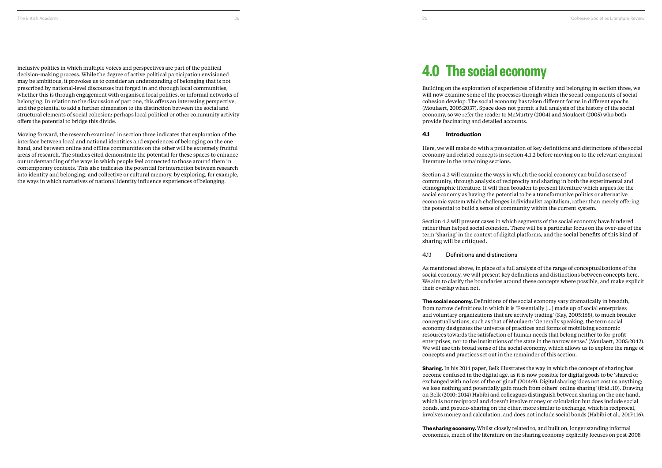inclusive politics in which multiple voices and perspectives are part of the political decision-making process. While the degree of active political participation envisioned may be ambitious, it provokes us to consider an understanding of belonging that is not prescribed by national-level discourses but forged in and through local communities, whether this is through engagement with organised local politics, or informal networks of belonging. In relation to the discussion of part one, this offers an interesting perspective, and the potential to add a further dimension to the distinction between the social and structural elements of social cohesion: perhaps local political or other community activity offers the potential to bridge this divide.

Moving forward, the research examined in section three indicates that exploration of the interface between local and national identities and experiences of belonging on the one hand, and between online and offline communities on the other will be extremely fruitful areas of research. The studies cited demonstrate the potential for these spaces to enhance our understanding of the ways in which people feel connected to those around them in contemporary contexts. This also indicates the potential for interaction between research into identity and belonging, and collective or cultural memory, by exploring, for example, the ways in which narratives of national identity influence experiences of belonging.

# **4.0 The social economy**

Building on the exploration of experiences of identity and belonging in section three, we will now examine some of the processes through which the social components of social cohesion develop. The social economy has taken different forms in different epochs (Moulaert, 2005:2037). Space does not permit a full analysis of the history of the social economy, so we refer the reader to McMurtry (2004) and Moulaert (2005) who both provide fascinating and detailed accounts.

#### **4.1 Introduction**

Here, we will make do with a presentation of key definitions and distinctions of the social economy and related concepts in section 4.1.2 before moving on to the relevant empirical literature in the remaining sections.

Section 4.2 will examine the ways in which the social economy can build a sense of community, through analysis of reciprocity and sharing in both the experimental and ethnographic literature. It will then broaden to present literature which argues for the social economy as having the potential to be a transformative politics or alternative economic system which challenges individualist capitalism, rather than merely offering the potential to build a sense of community within the current system.

Section 4.3 will present cases in which segments of the social economy have hindered rather than helped social cohesion. There will be a particular focus on the over-use of the term 'sharing' in the context of digital platforms, and the social benefits of this kind of sharing will be critiqued.

4.1.1 Definitions and distinctions

As mentioned above, in place of a full analysis of the range of conceptualisations of the social economy, we will present key definitions and distinctions between concepts here. We aim to clarify the boundaries around these concepts where possible, and make explicit their overlap when not.

**The social economy.** Definitions of the social economy vary dramatically in breadth, from narrow definitions in which it is 'Essentially […] made up of social enterprises and voluntary organizations that are actively trading' (Kay, 2005:168), to much broader conceptualisations, such as that of Moulaert: 'Generally speaking, the term social economy designates the universe of practices and forms of mobilising economic resources towards the satisfaction of human needs that belong neither to for-profit enterprises, nor to the institutions of the state in the narrow sense.' (Moulaert, 2005:2042). We will use this broad sense of the social economy, which allows us to explore the range of concepts and practices set out in the remainder of this section.

**Sharing.** In his 2014 paper, Belk illustrates the way in which the concept of sharing has become confused in the digital age, as it is now possible for digital goods to be 'shared or exchanged with no loss of the original' (2014:9). Digital sharing 'does not cost us anything; we lose nothing and potentially gain much from others' online sharing' (ibid.:10). Drawing on Belk (2010; 2014) Habibi and colleagues distinguish between sharing on the one hand, which is nonreciprocal and doesn't involve money or calculation but does include social bonds, and pseudo-sharing on the other, more similar to exchange, which is reciprocal, involves money and calculation, and does not include social bonds (Habibi et al., 2017:116).

**The sharing economy.** Whilst closely related to, and built on, longer standing informal economies, much of the literature on the sharing economy explicitly focuses on post-2008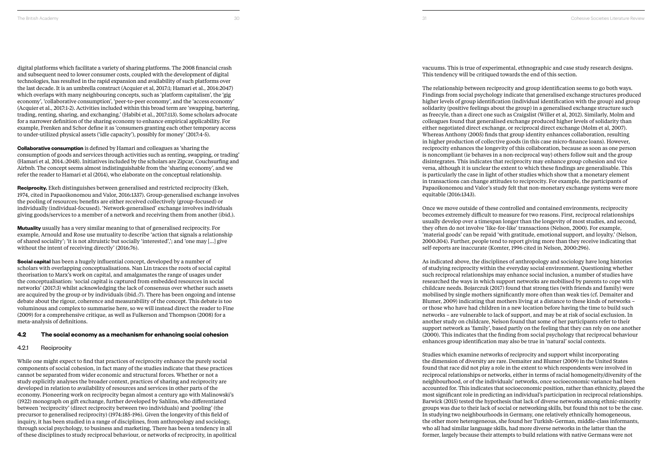digital platforms which facilitate a variety of sharing platforms. The 2008 financial crash and subsequent need to lower consumer costs, coupled with the development of digital technologies, has resulted in the rapid expansion and availability of such platforms over the last decade. It is an umbrella construct (Acquier et al, 2017:1; Hamari et al., 2014:2047) which overlaps with many neighbouring concepts, such as 'platform capitalism', the 'gig economy', 'collaborative consumption', 'peer-to-peer economy', and the 'access economy' (Acquier et al., 2017:1-2). Activities included within this broad term are 'swapping, bartering, trading, renting, sharing, and exchanging.' (Habibi et al., 2017:113). Some scholars advocate for a narrower definition of the sharing economy to enhance empirical applicability. For example, Frenken and Schor define it as 'consumers granting each other temporary access to under-utilized physical assets ('idle capacity'), possibly for money' (2017:4-5).

**Collaborative consumption** is defined by Hamari and colleagues as 'sharing the consumption of goods and services through activities such as renting, swapping, or trading' (Hamari et al, 2014.:2048). Initiatives included by the scholars are Zipcar, Couchsurfing and Airbnb. The concept seems almost indistinguishable from the 'sharing economy', and we refer the reader to Hamari et al (2014), who elaborate on the conceptual relationship.

**Reciprocity.** Ekeh distinguishes between generalised and restricted reciprocity (Ekeh, 1974, cited in Papaoikonomou and Valor, 2016:1337). Group-generalised exchange involves the pooling of resources; benefits are either received collectively (group-focused) or individually (individual-focused). 'Network-generalised' exchange involves individuals giving goods/services to a member of a network and receiving them from another (ibid.).

**Mutuality** usually has a very similar meaning to that of generalised reciprocity. For example, Arnould and Rose use mutuality to describe 'action that signals a relationship of shared sociality'; 'it is not altruistic but socially 'interested','; and 'one may […] give without the intent of receiving directly' (2016:76).

**Social capital** has been a hugely influential concept, developed by a number of scholars with overlapping conceptualisations. Nan Lin traces the roots of social capital theorisation to Marx's work on capital, and amalgamates the range of usages under the conceptualisation: 'social capital is captured from embedded resources in social networks' (2017:3) whilst acknowledging the lack of consensus over whether such assets are acquired by the group or by individuals (ibid.:7). There has been ongoing and intense debate about the rigour, coherence and measurability of the concept. This debate is too voluminous and complex to summarise here, so we will instead direct the reader to Fine (2009) for a comprehensive critique, as well as Fulkerson and Thompson (2008) for a meta-analysis of definitions.

### **4.2 The social economy as a mechanism for enhancing social cohesion**

#### 4.2.1 Reciprocity

While one might expect to find that practices of reciprocity enhance the purely social components of social cohesion, in fact many of the studies indicate that these practices cannot be separated from wider economic and structural forces. Whether or not a study explicitly analyses the broader context, practices of sharing and reciprocity are developed in relation to availability of resources and services in other parts of the economy. Pioneering work on reciprocity began almost a century ago with Malinowski's (1922) monograph on gift exchange, further developed by Sahlins, who differentiated between 'reciprocity' (direct reciprocity between two individuals) and 'pooling' (the precursor to generalised reciprocity) (1974:185-196). Given the longevity of this field of inquiry, it has been studied in a range of disciplines, from anthropology and sociology, through social psychology, to business and marketing. There has been a tendency in all of these disciplines to study reciprocal behaviour, or networks of reciprocity, in apolitical

vacuums. This is true of experimental, ethnographic and case study research designs. This tendency will be critiqued towards the end of this section.

The relationship between reciprocity and group identification seems to go both ways. Findings from social psychology indicate that generalised exchange structures produced higher levels of group identification (individual identification with the group) and group solidarity (positive feelings about the group) in a generalised exchange structure such as freecyle, than a direct one such as Craigslist (Willer et al, 2012). Similarly, Molm and colleagues found that generalised exchange produced higher levels of solidarity than either negotiated direct exchange, or reciprocal direct exchange (Molm et al, 2007). Whereas Anthony (2005) finds that group identity enhances collaboration, resulting in higher production of collective goods (in this case micro-finance loans). However, reciprocity enhances the longevity of this collaboration, because as soon as one person is noncompliant (ie behaves in a non-reciprocal way) others follow suit and the group disintegrates. This indicates that reciprocity may enhance group cohesion and vice versa, although it is unclear the extent to which these findings are generalisable. This is particularly the case in light of other studies which show that a monetary element in transactions can change attitudes to reciprocity. For example, the participants of Papaoikonomou and Valor's study felt that non-monetary exchange systems were more equitable (2016:1343).

Once we move outside of these controlled and contained environments, reciprocity becomes extremely difficult to measure for two reasons. First, reciprocal relationships usually develop over a timespan longer than the longevity of most studies, and second, they often do not involve 'like-for-like' transactions (Nelson, 2000). For example, 'material goods' can be repaid 'with gratitude, emotional support, and loyalty.' (Nelson, 2000:304). Further, people tend to report giving more than they receive indicating that self-reports are inaccurate (Komter, 1996 cited in Nelson, 2000:296).

As indicated above, the disciplines of anthropology and sociology have long histories of studying reciprocity within the everyday social environment. Questioning whether such reciprocal relationships may enhance social inclusion, a number of studies have researched the ways in which support networks are mobilised by parents to cope with childcare needs. Bojarczuk (2017) found that strong ties (with friends and family) were mobilised by single mothers significantly more often than weak ties (cf. Demaiter and Blumer, 2009) indicating that mothers living at a distance to these kinds of networks – or those who have had children in a new location before having the time to build such networks – are vulnerable to lack of support, and may be at risk of social exclusion. In another study on childcare, Nelson found that some of her participants refer to their support network as 'family', based partly on the feeling that they can rely on one another (2000). This indicates that the finding from social psychology that reciprocal behaviour enhances group identification may also be true in 'natural' social contexts.

Studies which examine networks of reciprocity and support whilst incorporating the dimension of diversity are rare. Demaiter and Blumer (2009) in the United States found that race did not play a role in the extent to which respondents were involved in reciprocal relationships or networks, either in terms of racial homogeneity/diversity of the neighbourhood, or of the individuals' networks, once socioeconomic variance had been accounted for. This indicates that socioeconomic position, rather than ethnicity, played the most significant role in predicting an individual's participation in reciprocal relationships. Barwick (2015) tested the hypothesis that lack of diverse networks among ethnic-minority groups was due to their lack of social or networking skills, but found this not to be the case. In studying two neighbourhoods in Germany, one relatively ethnically homogeneous, the other more heterogeneous, she found her Turkish-German, middle-class informants, who all had similar language skills, had more diverse networks in the latter than the former, largely because their attempts to build relations with native Germans were not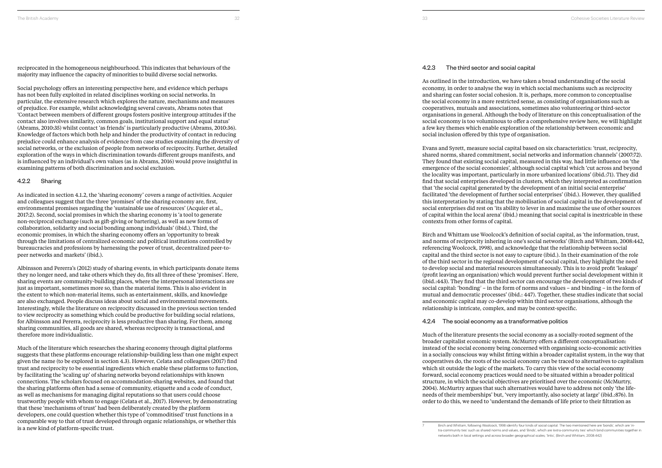reciprocated in the homogeneous neighbourhood. This indicates that behaviours of the majority may influence the capacity of minorities to build diverse social networks.

Social psychology offers an interesting perspective here, and evidence which perhaps has not been fully exploited in related disciplines working on social networks. In particular, the extensive research which explores the nature, mechanisms and measures of prejudice. For example, whilst acknowledging several caveats, Abrams notes that 'Contact between members of different groups fosters positive intergroup attitudes if the contact also involves similarity, common goals, institutional support and equal status' (Abrams, 2010:35) whilst contact 'as friends' is particularly productive (Abrams, 2010:36). Knowledge of factors which both help and hinder the productivity of contact in reducing prejudice could enhance analysis of evidence from case studies examining the diversity of social networks, or the exclusion of people from networks of reciprocity. Further, detailed exploration of the ways in which discrimination towards different groups manifests, and is influenced by an individual's own values (as in Abrams, 2016) would prove insightful in examining patterns of both discrimination and social exclusion.

#### 4.2.2 Sharing

As indicated in section 4.1.2, the 'sharing economy' covers a range of activities. Acquier and colleagues suggest that the three 'promises' of the sharing economy are, first, environmental promises regarding the 'sustainable use of resources' (Acquier et al., 2017:2). Second, social promises in which the sharing economy is 'a tool to generate non-reciprocal exchange (such as gift-giving or bartering), as well as new forms of collaboration, solidarity and social bonding among individuals' (ibid.). Third, the economic promises, in which the sharing economy offers an 'opportunity to break through the limitations of centralized economic and political institutions controlled by bureaucracies and professions by harnessing the power of trust, decentralized peer-topeer networks and markets' (ibid.).

Albinsson and Pererra's (2012) study of sharing events, in which participants donate items they no longer need, and take others which they do, fits all three of these 'promises'. Here, sharing events are community-building places, where the interpersonal interactions are just as important, sometimes more so, than the material items. This is also evident in the extent to which non-material items, such as entertainment, skills, and knowledge are also exchanged. People discuss ideas about social and environmental movements. Interestingly, while the literature on reciprocity discussed in the previous section tended to view reciprocity as something which could be productive for building social relations, for Albinsson and Pererra, reciprocity is less productive than sharing. For them, among sharing communities, all goods are shared, whereas reciprocity is transactional, and therefore more individualistic.

Much of the literature which researches the sharing economy through digital platforms suggests that these platforms encourage relationship-building less than one might expect given the name (to be explored in section 4.3). However, Celata and colleagues (2017) find trust and reciprocity to be essential ingredients which enable these platforms to function, by facilitating the 'scaling up' of sharing networks beyond relationships with known connections. The scholars focused on accommodation-sharing websites, and found that the sharing platforms often had a sense of community, etiquette and a code of conduct, as well as mechanisms for managing digital reputations so that users could choose trustworthy people with whom to engage (Celata et al., 2017). However, by demonstrating that these 'mechanisms of trust' had been deliberately created by the platform developers, one could question whether this type of 'commoditised' trust functions in a comparable way to that of trust developed through organic relationships, or whether this is a new kind of platform-specific trust.

#### 4.2.3 The third sector and social capital

As outlined in the introduction, we have taken a broad understanding of the social economy, in order to analyse the way in which social mechanisms such as reciprocity and sharing can foster social cohesion. It is, perhaps, more common to conceptualise the social economy in a more restricted sense, as consisting of organisations such as cooperatives, mutuals and associations, sometimes also volunteering or third-sector organisations in general. Although the body of literature on this conceptualisation of the social economy is too voluminous to offer a comprehensive review here, we will highlight a few key themes which enable exploration of the relationship between economic and social inclusion offered by this type of organisation.

Evans and Syrett, measure social capital based on six characteristics: 'trust, reciprocity, shared norms, shared commitment, social networks and information channels' (2007:72). They found that existing social capital, measured in this way, had little influence on 'the emergence of the social economies', although social capital which 'cut across and beyond the locality was important, particularly in more urbanized locations' (ibid.:71). They did find that social enterprises developed in clusters, which they interpreted as confirmation that 'the social capital generated by the development of an initial social enterprise' facilitated 'the development of further social enterprises' (ibid.). However, they qualified this interpretation by stating that the mobilisation of social capital in the development of social enterprises did rest on 'its ability to lever in and maximise the use of other sources of capital within the local arena' (ibid.) meaning that social capital is inextricable in these contexts from other forms of capital.

Birch and Whittam use Woolcock's definition of social capital, as 'the information, trust, and norms of reciprocity inhering in one's social networks' (Birch and Whittam, 2008:442, referencing Woolcock, 1998), and acknowledge that the relationship between social capital and the third sector is not easy to capture (ibid.). In their examination of the role of the third sector in the regional development of social capital, they highlight the need to develop social and material resources simultaneously. This is to avoid profit 'leakage' (profit leaving an organisation) which would prevent further social development within it (ibid.:443). They find that the third sector can encourage the development of two kinds of social capital: 'bonding' – in the form of norms and values – and binding – in the form of mutual and democratic processes' (ibid.: 447). Together, these studies indicate that social and economic capital may co-develop within third sector organisations, although the relationship is intricate, complex, and may be context-specific.

### 4.2.4 The social economy as a transformative politics

Much of the literature presents the social economy as a socially-rooted segment of the broader capitalist economic system. McMurtry offers a different conceptualisation: instead of the social economy being concerned with organising socio-economic activities in a socially conscious way whilst fitting within a broader capitalist system, in the way that cooperatives do, the roots of the social economy can be traced to alternatives to capitalism which sit outside the logic of the markets. To carry this view of the social economy forward, social economy practices would need to be situated within a broader political structure, in which the social objectives are prioritised over the economic (McMurtry, 2004). McMurtry argues that such alternatives would have to address not only 'the lifeneeds of their memberships' but, 'very importantly, also society at large' (ibid.:876). In order to do this, we need to 'understand the demands of life prior to their filtration as

7 Birch and Whittam, following Woolcock, 1998 identify four kinds of social capital. The two mentioned here are 'bonds', which are 'in tra-community ties' such as shared norms and values, and 'Binds', which are 'extra-community ties' which bind communities together in networks both in local settings and across broader geographical scales; 'links', (Birch and Whittam, 2008:442)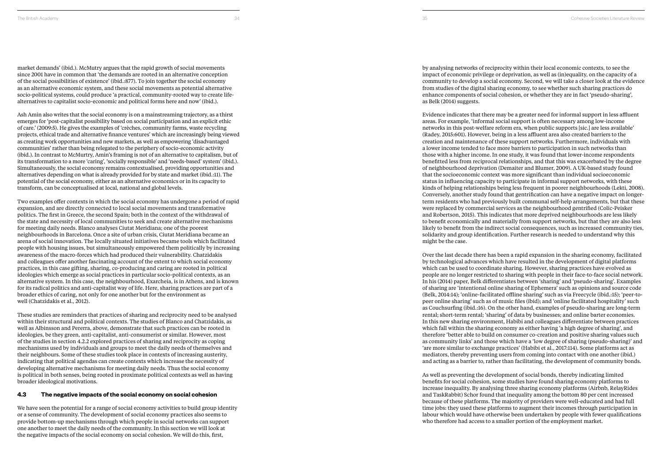market demands' (ibid.). McMutry argues that the rapid growth of social movements since 2001 have in common that 'the demands are rooted in an alternative conception of the social possibilities of existence' (ibid.:877). To join together the social economy as an alternative economic system, and these social movements as potential alternative socio-political systems, could produce 'a practical, community-rooted way to create lifealternatives to capitalist socio-economic and political forms here and now' (ibid.).

Ash Amin also writes that the social economy is on a mainstreaming trajectory, as a thirst emerges for 'post-capitalist possibility based on social participation and an explicit ethic of care.' (2009:5). He gives the examples of 'crèches, community farms, waste recycling projects, ethical trade and alternative finance ventures' which are increasingly being viewed as creating work opportunities and new markets, as well as empowering 'disadvantaged communities' rather than being relegated to the periphery of socio-economic activity (ibid.). In contrast to McMurtry, Amin's framing is not of an alternative to capitalism, but of its transformation to a more 'caring', 'socially responsible' and 'needs-based' system' (ibid.). Simultaneously, the social economy remains contextualised, providing opportunities and alternatives depending on what is already provided for by state and market (ibid.:11). The potential of the social economy, either as an alternative economics or in its capacity to transform, can be conceptualised at local, national and global levels.

Two examples offer contexts in which the social economy has undergone a period of rapid expansion, and are directly connected to local social movements and transformative politics. The first in Greece, the second Spain; both in the context of the withdrawal of the state and necessity of local communities to seek and create alternative mechanisms for meeting daily needs. Blanco analyses Ciutat Meridiana; one of the poorest neighbourhoods in Barcelona. Once a site of urban crisis, Ciutat Meridiana became an arena of social innovation. The locally situated initiatives became tools which facilitated people with housing issues, but simultaneously empowered them politically by increasing awareness of the macro-forces which had produced their vulnerability. Chatzidakis and colleagues offer another fascinating account of the extent to which social economy practices, in this case gifting, sharing, co-producing and caring are rooted in political ideologies which emerge as social practices in particular socio-political contexts, as an alternative system. In this case, the neighbourhood, Exarcheia, is in Athens, and is known for its radical politics and anti-capitalist way of life. Here, sharing practices are part of a broader ethics of caring, not only for one another but for the environment as well (Chatzidakis et al., 2012).

These studies are reminders that practices of sharing and reciprocity need to be analysed within their structural and political contexts. The studies of Blanco and Chatzidakis, as well as Albinsson and Pererra, above, demonstrate that such practices can be rooted in ideologies, be they green, anti-capitalist, anti-consumerist or similar. However, most of the studies in section 4.2.2 explored practices of sharing and reciprocity as coping mechanisms used by individuals and groups to meet the daily needs of themselves and their neighbours. Some of these studies took place in contexts of increasing austerity, indicating that political agendas can create contexts which increase the necessity of developing alternative mechanisms for meeting daily needs. Thus the social economy is political in both senses, being rooted in proximate political contexts as well as having broader ideological motivations.

#### **4.3 The negative impacts of the social economy on social cohesion**

We have seen the potential for a range of social economy activities to build group identity or a sense of community. The development of social economy practices also seems to provide bottom-up mechanisms through which people in social networks can support one another to meet the daily needs of the community. In this section we will look at the negative impacts of the social economy on social cohesion. We will do this, first,

by analysing networks of reciprocity within their local economic contexts, to see the impact of economic privilege or deprivation, as well as (in)equality, on the capacity of a community to develop a social economy. Second, we will take a closer look at the evidence from studies of the digital sharing economy, to see whether such sharing practices do enhance components of social cohesion, or whether they are in fact 'pseudo-sharing',

as Belk (2014) suggests.

Evidence indicates that there may be a greater need for informal support in less affluent areas. For example, 'informal social support is often necessary among low-income networks in this post-welfare reform era, when public supports [sic.] are less available' (Radey, 2015:601). However, being in a less affluent area also created barriers to the creation and maintenance of these support networks. Furthermore, individuals with a lower income tended to face more barriers to participation in such networks than those with a higher income. In one study, it was found that lower-income respondents benefitted less from reciprocal relationships, and that this was exacerbated by the degree of neighbourhood deprivation (Demaiter and Blumer, 2009). A UK-based study found that the socioeconomic context was more significant than individual socioeconomic status in influencing capacity to participate in informal support networks, with these kinds of helping relationships being less frequent in poorer neighbourhoods (Lekti, 2008). Conversely, another study found that gentrification can have a negative impact on longerterm residents who had previously built communal self-help arrangements, but that these were replaced by commercial services as the neighbourhood gentrified (Colic-Peisker and Robertson, 2015). This indicates that more deprived neighbourhoods are less likely to benefit economically and materially from support networks, but that they are also less likely to benefit from the indirect social consequences, such as increased community ties, solidarity and group identification. Further research is needed to understand why this might be the case.

Over the last decade there has been a rapid expansion in the sharing economy, facilitated by technological advances which have resulted in the development of digital platforms which can be used to coordinate sharing. However, sharing practices have evolved as people are no longer restricted to sharing with people in their face-to-face social network. In his (2014) paper, Belk differentiates between 'sharing' and 'pseudo-sharing'. Examples of sharing are 'intentional online sharing of Ephemera' such as opinions and source code (Belk, 2014:14); 'online-facilitated offline sharing' such as via Freecycle (ibid.:15); 'peer-topeer online sharing' such as of music files (ibid); and 'online facilitated hospitality' such as Couchsurfing (ibid.:16). On the other hand, examples of pseudo-sharing are long-term rental; short-term rental; 'sharing' of data by businesses; and online barter economies. In this new sharing environment, Habibi and colleagues differentiate between practices which fall within the sharing economy as either having 'a high degree of sharing', and therefore 'better able to build on consumer co-creation and positive sharing values such as community links' and those which have a 'low degree of sharing (pseudo-sharing)' and 'are more similar to exchange practices' (Habibi et al., 2017:114). Some platforms act as mediators, thereby preventing users from coming into contact with one another (ibid.) and acting as a barrier to, rather than facilitating, the development of community bonds.

As well as preventing the development of social bonds, thereby indicating limited benefits for social cohesion, some studies have found sharing economy platforms to increase inequality. By analysing three sharing economy platforms (Airbnb, RelayRides and TaskRabbit) Schor found that inequality among the bottom 80 per cent increased because of these platforms. The majority of providers were well-educated and had full time jobs: they used these platforms to augment their incomes through participation in labour which would have otherwise been undertaken by people with fewer qualifications who therefore had access to a smaller portion of the employment market.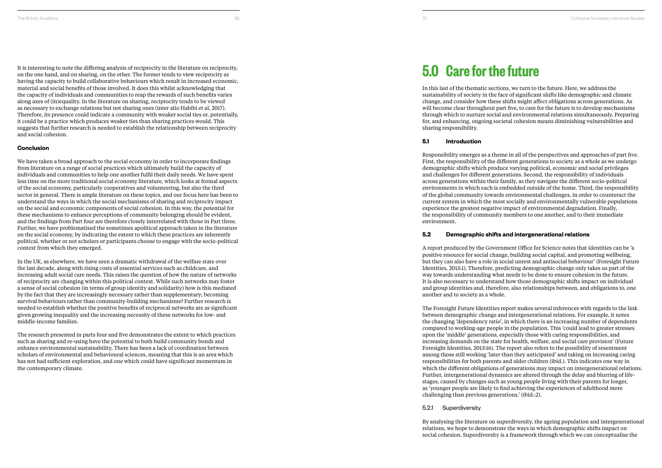It is interesting to note the differing analysis of reciprocity in the literature on reciprocity, on the one hand, and on sharing, on the other. The former tends to view reciprocity as having the capacity to build collaborative behaviours which result in increased economic, material and social benefits of those involved. It does this whilst acknowledging that the capacity of individuals and communities to reap the rewards of such benefits varies along axes of (in)equality. In the literature on sharing, reciprocity tends to be viewed as necessary to exchange relations but not sharing ones (inter alio Habibi et al, 2017). Therefore, its presence could indicate a community with weaker social ties or, potentially, it could be a practice which produces weaker ties than sharing practices would. This suggests that further research is needed to establish the relationship between reciprocity and social cohesion.

#### **Conclusion**

We have taken a broad approach to the social economy in order to incorporate findings from literature on a range of social practices which ultimately build the capacity of individuals and communities to help one another fulfil their daily needs. We have spent less time on the more traditional social economy literature, which looks at formal aspects of the social economy, particularly cooperatives and volunteering, but also the third sector in general. There is ample literature on these topics, and our focus here has been to understand the ways in which the social mechanisms of sharing and reciprocity impact on the social and economic components of social cohesion. In this way, the potential for these mechanisms to enhance perceptions of community belonging should be evident, and the findings from Part four are therefore closely interrelated with those in Part three. Further, we have problematised the sometimes apolitical approach taken in the literature on the social economy, by indicating the extent to which these practices are inherently political, whether or not scholars or participants choose to engage with the socio-political context from which they emerged.

In the UK, as elsewhere, we have seen a dramatic withdrawal of the welfare state over the last decade, along with rising costs of essential services such as childcare, and increasing adult social care needs. This raises the question of how the nature of networks of reciprocity are changing within this political context. While such networks may foster a sense of social cohesion (in terms of group identity and solidarity) how is this mediated by the fact that they are increasingly necessary rather than supplementary; becoming survival behaviours rather than community-building mechanisms? Further research is needed to establish whether the positive benefits of reciprocal networks are as significant given growing inequality and the increasing necessity of these networks for low- and middle-income families.

The research presented in parts four and five demonstrates the extent to which practices such as sharing and re-using have the potential to both build community bonds and enhance environmental sustainability. There has been a lack of coordination between scholars of environmental and behavioural sciences, meaning that this is an area which has not had sufficient exploration, and one which could have significant momentum in the contemporary climate.

# **5.0 Care for the future**

In this last of the thematic sections, we turn to the future. Here, we address the sustainability of society in the face of significant shifts like demographic and climate change, and consider how these shifts might affect obligations across generations. As will become clear throughout part five, to care for the future is to develop mechanisms through which to nurture social and environmental relations simultaneously. Preparing for, and enhancing, ongoing societal cohesion means diminishing vulnerabilities and sharing responsibility.

#### **5.1 Introduction**

Responsibility emerges as a theme in all of the perspectives and approaches of part five. First, the responsibility of the different generations to society as a whole as we undergo demographic shifts which produce varying political, economic and social privileges and challenges for different generations. Second, the responsibility of individuals across generations within their family, as they navigate the different socio-political environments in which each is embedded outside of the home. Third, the responsibility of the global community towards environmental challenges, in order to counteract the current system in which the most socially and environmentally vulnerable populations experience the greatest negative impact of environmental degradation. Finally, the responsibility of community members to one another, and to their immediate environment.

### **5.2 Demographic shifts and intergenerational relations**

A report produced by the Government Office for Science notes that identities can be 'a positive resource for social change, building social capital, and promoting wellbeing, but they can also have a role in social unrest and antisocial behaviour' (Foresight Future Identities, 2013:1). Therefore, predicting demographic change only takes us part of the way towards understanding what needs to be done to ensure cohesion in the future. It is also necessary to understand how those demographic shifts impact on individual and group identities and, therefore, also relationships between, and obligations to, one another and to society as a whole.

The Foresight Future Identities report makes several inferences with regards to the link between demographic change and intergenerational relations. For example, it notes the changing 'dependency ratio', in which there is an increasing number of dependents compared to working-age people in the population. This 'could lead to greater stresses upon the 'middle' generations, especially those with caring responsibilities, and increasing demands on the state for health, welfare, and social care provision' (Future Foresight Identities, 2013:16). The report also refers to the possibility of resentment among those still working 'later than they anticipated' and taking on increasing caring responsibilities for both parents and older children (ibid.). This indicates one way in which the different obligations of generations may impact on intergenerational relations. Further, intergenerational dynamics are altered through the delay and blurring of lifestages, caused by changes such as young people living with their parents for longer, as 'younger people are likely to find achieving the experiences of adulthood more challenging than previous generations.' (ibid.:2).

#### 5.2.1 Superdiversity

By analysing the literature on superdiversity, the ageing population and intergenerational relations, we hope to demonstrate the ways in which demographic shifts impact on social cohesion. Superdiversity is a framework through which we can conceptualise the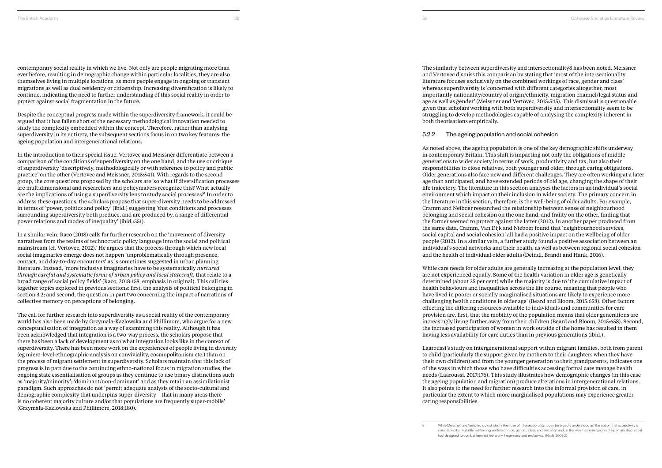contemporary social reality in which we live. Not only are people migrating more than ever before, resulting in demographic change within particular localities, they are also themselves living in multiple locations, as more people engage in ongoing or transient migrations as well as dual residency or citizenship. Increasing diversification is likely to continue, indicating the need to further understanding of this social reality in order to protect against social fragmentation in the future.

Despite the conceptual progress made within the superdiversity framework, it could be argued that it has fallen short of the necessary methodological innovation needed to study the complexity embedded within the concept. Therefore, rather than analysing superdiversity in its entirety, the subsequent sections focus in on two key features: the ageing population and intergenerational relations.

In the introduction to their special issue, Vertovec and Meissner differentiate between a comparison of the conditions of superdiversity on the one hand, and the use or critique of superdiversity 'descriptively, methodologically or with reference to policy and public practice' on the other (Vertovec and Meissner, 2015:541). With regards to the second group, the core questions proposed by the scholars are 'so what if diversification processes are multidimensional and researchers and policymakers recognize this? What actually are the implications of using a superdiversity lens to study social processes?' In order to address these questions, the scholars propose that super-diversity needs to be addressed in terms of 'power, politics and policy' (ibid.) suggesting 'that conditions and processes surrounding superdiversity both produce, and are produced by, a range of differential power relations and modes of inequality' (ibid.:551).

In a similar vein, Raco (2018) calls for further research on the 'movement of diversity narratives from the realms of technocratic policy language into the social and political mainstream (cf. Vertovec, 2012).' He argues that the process through which new local social imaginaries emerge does not happen 'unproblematically through presence, contact, and day-to-day encounters' as is sometimes suggested in urban planning literature. Instead, 'more inclusive imaginaries have to be systematically *nurtured through careful and systematic forms of urban policy and local statecraft,* that relate to a broad range of social policy fields' (Raco, 2018:158, emphasis in original). This call ties together topics explored in previous sections: first, the analysis of political belonging in section 3.2; and second, the question in part two concerning the impact of narrations of collective memory on perceptions of belonging.

The call for further research into superdiversity as a social reality of the contemporary world has also been made by Grzymala-Kazlowska and Phillimore, who argue for a new conceptualisation of integration as a way of examining this reality. Although it has been acknowledged that integration is a two-way process, the scholars propose that there has been a lack of development as to what integration looks like in the context of superdiversity. There has been more work on the experiences of people living in diversity (eg micro-level ethnographic analysis on conviviality, cosmopolitanism etc.) than on the process of migrant settlement in superdiversity. Scholars maintain that this lack of progress is in part due to the continuing ethno-national focus in migration studies, the ongoing state essentialisation of groups as they continue to use binary distinctions such as 'majority/minority'; 'dominant/non-dominant' and as they retain an assimilationist paradigm. Such approaches do not 'permit adequate analysis of the socio-cultural and demographic complexity that underpins super-diversity – that in many areas there is no coherent majority culture and/or that populations are frequently super-mobile' (Grzymala-Kazlowska and Phillimore, 2018:180).

The similarity between superdiversity and intersectionality8 has been noted. Meissner and Vertovec dismiss this comparison by stating that 'most of the intersectionality literature focuses exclusively on the combined workings of race, gender and class' whereas superdiversity is 'concerned with different categories altogether, most importantly nationality/country of origin/ethnicity, migration channel/legal status and age as well as gender' (Meissner and Vertovec, 2015:545). This dismissal is questionable given that scholars working with both superdiversity and intersectionality seem to be struggling to develop methodologies capable of analysing the complexity inherent in both theorisations empirically.

#### 5.2.2 The ageing population and social cohesion

As noted above, the ageing population is one of the key demographic shifts underway in contemporary Britain. This shift is impacting not only the obligations of middle generations to wider society in terms of work, productivity and tax, but also their responsibilities to close relatives, both younger and older, through caring obligations. Older generations also face new and different challenges. They are often working at a later age than anticipated, and have extended periods of old age, changing the shape of their life trajectory. The literature in this section analyses the factors in an individual's social environment which impact on their inclusion in wider society. The primary concern in the literature in this section, therefore, is the well-being of older adults. For example, Cramm and Neiboer researched the relationship between sense of neighbourhood belonging and social cohesion on the one hand, and frailty on the other, finding that the former seemed to protect against the latter (2012). In another paper produced from the same data, Cramm, Van Dijk and Nieboer found that 'neighbourhood services, social capital and social cohesion' all had a positive impact on the wellbeing of older people (2012). In a similar vein, a further study found a positive association between an individual's social networks and their health, as well as between regional social cohesion and the health of individual older adults (Deindl, Brandt and Hank, 2016).

While care needs for older adults are generally increasing at the population level, they are not experienced equally. Some of the health variation in older age is genetically determined (about 25 per cent) while the majority is due to 'the cumulative impact of health behaviours and inequalities across the life course, meaning that people who have lived in poorer or socially marginalised situations are likely to experience more challenging health conditions in older age' (Beard and Bloom, 2015:658). Other factors effecting the differing resources available to individuals and communities for care provision are, first, that the mobility of the population means that older generations are increasingly living further away from their children (Beard and Bloom, 2015:658). Second, the increased participation of women in work outside of the home has resulted in them having less availability for care duties than in previous generations (ibid.).

Laaroussi's study on intergenerational support within migrant families, both from parent to child (particularly the support given by mothers to their daughters when they have their own children) and from the younger generation to their grandparents, indicates one of the ways in which those who have difficulties accessing formal care manage health needs (Laaroussi, 2017:176). This study illustrates how demographic changes (in this case the ageing population and migration) produce alterations in intergenerational relations. It also points to the need for further research into the informal provision of care, in particular the extent to which more marginalised populations may experience greater caring responsibilities.

8 While Meissner and Vertovec do not clarify their use of intersectionality, it can be broadly understood as 'the notion that subjectivity is constituted by mutually reinforcing vectors of race, gender, class, and sexuality' and, in this way, has 'emerged as the primary theoretical tool designed to combat feminist hierarchy, hegemony and exclusivity,' (Nash, 2008:2).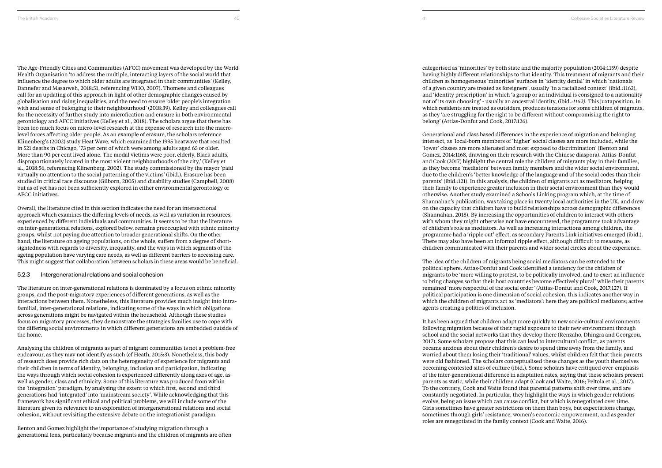The Age-Friendly Cities and Communities (AFCC) movement was developed by the World Health Organisation 'to address the multiple, interacting layers of the social world that influence the degree to which older adults are integrated in their communities' (Kelley, Dannefer and Masarweh, 2018:51, referencing WHO, 2007). Thomese and colleagues call for an updating of this approach in light of other demographic changes caused by globalisation and rising inequalities, and the need to ensure 'older people's integration with and sense of belonging to their neighbourhood' (2018:39). Kelley and colleagues call for the necessity of further study into microfication and erasure in both environmental gerontology and AFCC initiatives (Kelley et al., 2018). The scholars argue that there has been too much focus on micro-level research at the expense of research into the macrolevel forces affecting older people. As an example of erasure, the scholars reference Klinenberg's (2002) study Heat Wave, which examined the 1995 heatwave that resulted in 521 deaths in Chicago, '73 per cent of which were among adults aged 65 or older. More than 90 per cent lived alone. The modal victims were poor, elderly, Black adults, disproportionately located in the most violent neighbourhoods of the city,' (Kelley et al., 2018:56, referencing Klinenberg, 2002). The study commissioned by the mayor 'paid virtually no attention to the social patterning of the victims' (ibid.). Erasure has been studied in critical race discourse (Gilborn, 2005) and disability studies (Campbell, 2008) but as of yet has not been sufficiently explored in either environmental gerontology or AFCC initiatives.

Overall, the literature cited in this section indicates the need for an intersectional approach which examines the differing levels of needs, as well as variation in resources, experienced by different individuals and communities. It seems to be that the literature on inter-generational relations, explored below, remains preoccupied with ethnic minority groups, whilst not paying due attention to broader generational shifts. On the other hand, the literature on ageing populations, on the whole, suffers from a degree of shortsightedness with regards to diversity, inequality, and the ways in which segments of the ageing population have varying care needs, as well as different barriers to accessing care. This might suggest that collaboration between scholars in these areas would be beneficial.

#### 5.2.3 Intergenerational relations and social cohesion

The literature on inter-generational relations is dominated by a focus on ethnic minority groups, and the post-migratory experiences of different generations, as well as the interactions between them. Nonetheless, this literature provides much insight into intrafamilial, inter-generational relations, indicating some of the ways in which obligations across generations might be navigated within the household. Although these studies focus on migratory processes, they demonstrate the strategies families use to cope with the differing social environments in which different generations are embedded outside of the home.

Analysing the children of migrants as part of migrant communities is not a problem-free endeavour, as they may not identify as such (cf Heath, 2015:3). Nonetheless, this body of research does provide rich data on the heterogeneity of experience for migrants and their children in terms of identity, belonging, inclusion and participation, indicating the ways through which social cohesion is experienced differently along axes of age, as well as gender, class and ethnicity. Some of this literature was produced from within the 'integration' paradigm, by analysing the extent to which first, second and third generations had 'integrated' into 'mainstream society'. While acknowledging that this framework has significant ethical and political problems, we will include some of the literature given its relevance to an exploration of intergenerational relations and social cohesion, without revisiting the extensive debate on the integrationist paradigm.

Benton and Gomez highlight the importance of studying migration through a generational lens, particularly because migrants and the children of migrants are often categorised as 'minorities' by both state and the majority population (2014:1159) despite having highly different relationships to that identity. This treatment of migrants and their children as homogeneous 'minorities' surfaces in 'identity denial' in which 'nationals of a given country are treated as foreigners', usually 'in a racialized context' (ibid.:1162), and 'identity prescription' in which 'a group or an individual is consigned to a nationality not of its own choosing' - usually an ancestral identity, (ibid*.:1162).* This juxtaposition, in which residents are treated as outsiders, produces tensions for some children of migrants, as they 'are struggling for the right to be different without compromising the right to belong' (Attias-Donfut and Cook, 2017:126).

Generational and class based differences in the experience of migration and belonging intersect, as 'local-born members of 'higher' social classes are more included, while the 'lower' classes are more alienated and most exposed to discrimination' (Benton and Gomez, 2014:1168, drawing on their research with the Chinese diaspora). Attias-Donfut and Cook (2017) highlight the central role the children of migrants play in their families, as they become 'mediators' between family members and the wider social environment, due to the children's 'better knowledge of the language and of the social codes than their parents' (ibid.:121). In this analysis, the children of migrants act as mediators, helping their family to experience greater inclusion in their social environment than they would otherwise. Another study examined a Schools Linking program which, at the time of Shannahan's publication, was taking place in twenty local authorities in the UK, and drew on the capacity that children have to build relationships across demographic differences (Shannahan, 2018). By increasing the opportunities of children to interact with others with whom they might otherwise not have encountered, the programme took advantage of children's role as mediators. As well as increasing interactions among children, the programme had a 'ripple out' effect, as secondary Parents Link initiatives emerged (ibid.). There may also have been an informal ripple effect, although difficult to measure, as children communicated with their parents and wider social circles about the experience.

The idea of the children of migrants being social mediators can be extended to the political sphere. Attias-Donfut and Cook identified a tendency for the children of migrants to be 'more willing to protest, to be politically involved, and to exert an influence to bring changes so that their host countries become effectively plural' while their parents remained 'more respectful of the social order' (Attias-Donfut and Cook, 2017:127). If political participation is one dimension of social cohesion, this indicates another way in which the children of migrants act as 'mediators': here they are political mediators; active agents creating a politics of inclusion.

It has been argued that children adapt more quickly to new socio-cultural environments following migration because of their rapid exposure to their new environment through school and the social networks that they develop there (Renzaho, Dhingra and Georgeou, 2017). Some scholars propose that this can lead to intercultural conflict, as parents became anxious about their children's desire to spend time away from the family, and worried about them losing their 'traditional' values, whilst children felt that their parents were old fashioned. The scholars conceptualised these changes as the youth themselves becoming contested sites of culture (ibid.). Some scholars have critiqued over-emphasis of the inter-generational difference in adaptation rates, saying that these scholars present parents as static, while their children adapt (Cook and Waite, 2016; Peltola et al., 2017). To the contrary, Cook and Waite found that parental patterns shift over time, and are constantly negotiated. In particular, they highlight the ways in which gender relations evolve, being an issue which can cause conflict, but which is renegotiated over time. Girls sometimes have greater restrictions on them than boys, but expectations change, sometimes through girls' resistance, women's economic empowerment, and as gender roles are renegotiated in the family context (Cook and Waite, 2016).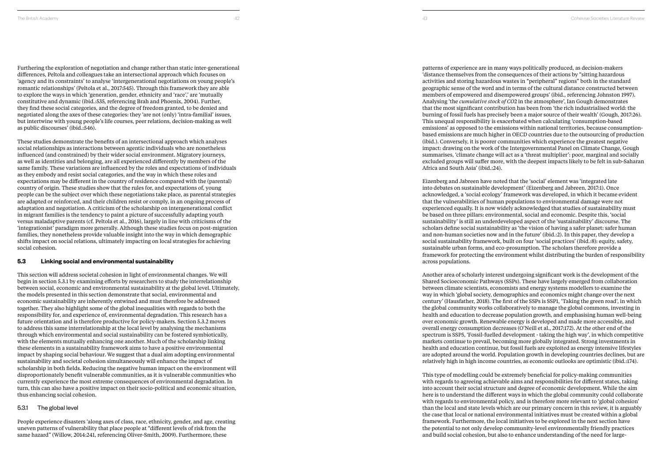Furthering the exploration of negotiation and change rather than static inter-generational differences, Peltola and colleagues take an intersectional approach which focuses on 'agency and its constraints' to analyse 'intergenerational negotiations on young people's romantic relationships' (Peltola et al., 2017:545). Through this framework they are able to explore the ways in which 'generation, gender, ethnicity and 'race',' are 'mutually constitutive and dynamic (ibid.:535, referencing Brah and Phoenix, 2004). Further, they find these social categories, and the degree of freedom granted, to be denied and negotiated along the axes of these categories: they 'are not (only) 'intra-familial' issues, but intertwine with young people's life courses, peer relations, decision-making as well as public discourses' (ibid.:546).

These studies demonstrate the benefits of an intersectional approach which analyses social relationships as interactions between agentic individuals who are nonetheless influenced (and constrained) by their wider social environment. Migratory journeys, as well as identities and belonging, are all experienced differently by members of the same family. These variations are influenced by the roles and expectations of individuals as they embody and resist social categories, and the way in which these roles and expectations may be different in the country of residence compared with the (parental) country of origin. These studies show that the rules for, and expectations of, young people can be the subject over which these negotiations take place, as parental strategies are adapted or reinforced, and their children resist or comply, in an ongoing process of adaptation and negotiation. A criticism of the scholarship on intergenerational conflict in migrant families is the tendency to paint a picture of successfully adapting youth versus maladaptive parents (cf. Peltola et al., 2016), largely in line with criticisms of the 'integrationist' paradigm more generally. Although these studies focus on post-migration families, they nonetheless provide valuable insight into the way in which demographic shifts impact on social relations, ultimately impacting on local strategies for achieving social cohesion.

#### **5.3 Linking social and environmental sustainability**

This section will address societal cohesion in light of environmental changes. We will begin in section 5.3.1 by examining efforts by researchers to study the interrelationship between social, economic and environmental sustainability at the global level. Ultimately, the models presented in this section demonstrate that social, environmental and economic sustainability are inherently entwined and must therefore be addressed together. They also highlight some of the global inequalities with regards to both the responsibility for, and experience of, environmental degradation. This research has a future orientation and is therefore productive for policy-makers. Section 5.3.2 moves to address this same interrelationship at the local level by analysing the mechanisms through which environmental and social sustainability can be fostered symbiotically, with the elements mutually enhancing one another. Much of the scholarship linking these elements in a sustainability framework aims to have a positive environmental impact by shaping social behaviour. We suggest that a dual aim adopting environmental sustainability and societal cohesion simultaneously will enhance the impact of scholarship in both fields. Reducing the negative human impact on the environment will disproportionately benefit vulnerable communities, as it is vulnerable communities who currently experience the most extreme consequences of environmental degradation. In turn, this can also have a positive impact on their socio-political and economic situation, thus enhancing social cohesion.

#### 5.3.1 The global level

People experience disasters 'along axes of class, race, ethnicity, gender, and age, creating uneven patterns of vulnerability that place people at "different levels of risk from the same hazard" (Willow, 2014:241, referencing Oliver-Smith, 2009). Furthermore, these

patterns of experience are in many ways politically produced, as decision-makers 'distance themselves from the consequences of their actions by "sitting hazardous activities and storing hazardous wastes in "peripheral" regions" both in the standard geographic sense of the word and in terms of the cultural distance constructed between members of empowered and disempowered groups' (ibid., referencing Johnston 1997). Analysing 'the *cumulative stock of CO*2 in the atmosphere', Ian Gough demonstrates that the most significant contribution has been from 'the rich industrialised world: the burning of fossil fuels has precisely been a major source of their wealth' (Gough, 2017:26). This unequal responsibility is exacerbated when calculating 'consumption-based emissions' as opposed to the emissions within national territories, because consumptionbased emissions are much higher in OECD countries due to the outsourcing of production (ibid.). Conversely, it is poorer communities which experience the greatest negative impact: drawing on the work of the Intergovernmental Panel on Climate Change, Gough summarises, 'climate change will act as a 'threat multiplier': poor, marginal and socially excluded groups will suffer more, with the deepest impacts likely to be felt in sub-Saharan Africa and South Asia' (ibid.:24).

Eizenberg and Jabreen have noted that the 'social' element was 'integrated late into debates on sustainable development' (Eizenberg and Jabreen, 2017:1). Once acknowledged, a 'social ecology' framework was developed, in which it became evident that the vulnerabilities of human populations to environmental damage were not experienced equally. It is now widely acknowledged that studies of sustainability must be based on three pillars: environmental, social and economic. Despite this, 'social sustainability' is still an underdeveloped aspect of the 'sustainability' discourse. The scholars define social sustainability as 'the vision of having a safer planet: safer human and non-human societies now and in the future' (ibid.:2). In this paper, they develop a social sustainability framework, built on four 'social practices' (ibid.:8): equity, safety, sustainable urban forms, and eco-prosumption. The scholars therefore provide a framework for protecting the environment whilst distributing the burden of responsibility across populations.

Another area of scholarly interest undergoing significant work is the development of the Shared Socioeconomic Pathways (SSPs). These have largely emerged from collaboration between climate scientists, economists and energy systems modellers to examine the way in which 'global society, demographics and economics might change over the next century' (Hausfather, 2018). The first of the SSPs is SSP1, 'Taking the green road', in which the global community works collaboratively to manage the global commons, investing in health and education to decrease population growth, and emphasising human well-being over economic growth. Renewable energy is developed and made more accessible, and overall energy consumption decreases (O'Neill et al., 2017:172). At the other end of the spectrum is SSP5, 'Fossil-fuelled development - taking the high way', in which competitive markets continue to prevail, becoming more globally integrated. Strong investments in health and education continue, but fossil fuels are exploited as energy intensive lifestyles are adopted around the world. Population growth in developing countries declines, but are relatively high in high income countries, as economic outlooks are optimistic (ibid.:174).

This type of modelling could be extremely beneficial for policy-making communities with regards to agreeing achievable aims and responsibilities for different states, taking into account their social structure and degree of economic development. While the aim here is to understand the different ways in which the global community could collaborate with regards to environmental policy, and is therefore more relevant to 'global cohesion' than the local and state levels which are our primary concern in this review, it is arguably the case that local or national environmental initiatives must be created within a global framework. Furthermore, the local initiatives to be explored in the next section have the potential to not only develop community-level environmentally friendly practices and build social cohesion, but also to enhance understanding of the need for large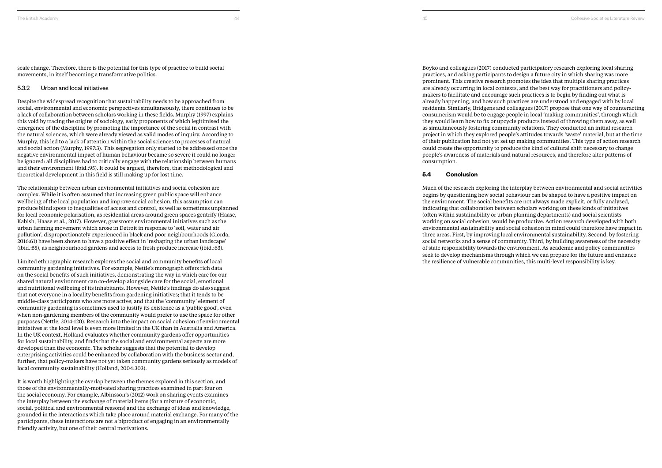scale change. Therefore, there is the potential for this type of practice to build social movements, in itself becoming a transformative politics.

#### 5.3.2 Urban and local initiatives

Despite the widespread recognition that sustainability needs to be approached from social, environmental and economic perspectives simultaneously, there continues to be a lack of collaboration between scholars working in these fields. Murphy (1997) explains this void by tracing the origins of sociology, early proponents of which legitimised the emergence of the discipline by promoting the importance of the social in contrast with the natural sciences, which were already viewed as valid modes of inquiry. According to Murphy, this led to a lack of attention within the social sciences to processes of natural and social action (Murphy, 1997:3). This segregation only started to be addressed once the negative environmental impact of human behaviour became so severe it could no longer be ignored: all disciplines had to critically engage with the relationship between humans and their environment (ibid.:95). It could be argued, therefore, that methodological and theoretical development in this field is still making up for lost time.

The relationship between urban environmental initiatives and social cohesion are complex. While it is often assumed that increasing green public space will enhance wellbeing of the local population and improve social cohesion, this assumption can produce blind spots to inequalities of access and control, as well as sometimes unplanned for local economic polarisation, as residential areas around green spaces gentrify (Haase, Kabish, Haase et al., 2017). However, grassroots environmental initiatives such as the urban farming movement which arose in Detroit in response to 'soil, water and air pollution', disproportionately experienced in black and poor neighbourhoods (Giorda, 2016:61) have been shown to have a positive effect in 'reshaping the urban landscape' (ibid.:55), as neighbourhood gardens and access to fresh produce increase (ibid.:63).

Limited ethnographic research explores the social and community benefits of local community gardening initiatives. For example, Nettle's monograph offers rich data on the social benefits of such initiatives, demonstrating the way in which care for our shared natural environment can co-develop alongside care for the social, emotional and nutritional wellbeing of its inhabitants. However, Nettle's findings do also suggest that not everyone in a locality benefits from gardening initiatives; that it tends to be middle-class participants who are more active; and that the 'community' element of community gardening is sometimes used to justify its existence as a 'public good', even when non-gardening members of the community would prefer to use the space for other purposes (Nettle, 2014:120). Research into the impact on social cohesion of environmental initiatives at the local level is even more limited in the UK than in Australia and America. In the UK context, Holland evaluates whether community gardens offer opportunities for local sustainability, and finds that the social and environmental aspects are more developed than the economic. The scholar suggests that the potential to develop enterprising activities could be enhanced by collaboration with the business sector and, further, that policy-makers have not yet taken community gardens seriously as models of local community sustainability (Holland, 2004:303).

It is worth highlighting the overlap between the themes explored in this section, and those of the environmentally-motivated sharing practices examined in part four on the social economy. For example, Albinsson's (2012) work on sharing events examines the interplay between the exchange of material items (for a mixture of economic, social, political and environmental reasons) and the exchange of ideas and knowledge, grounded in the interactions which take place around material exchange. For many of the participants, these interactions are not a biproduct of engaging in an environmentally friendly activity, but one of their central motivations.

Boyko and colleagues (2017) conducted participatory research exploring local sharing practices, and asking participants to design a future city in which sharing was more prominent. This creative research promotes the idea that multiple sharing practices are already occurring in local contexts, and the best way for practitioners and policymakers to facilitate and encourage such practices is to begin by finding out what is already happening, and how such practices are understood and engaged with by local residents. Similarly, Bridgens and colleagues (2017) propose that one way of counteracting consumerism would be to engage people in local 'making communities', through which they would learn how to fix or upcycle products instead of throwing them away, as well as simultaneously fostering community relations. They conducted an initial research project in which they explored people's attitudes towards 'waste' material, but at the time of their publication had not yet set up making communities. This type of action research could create the opportunity to produce the kind of cultural shift necessary to change people's awareness of materials and natural resources, and therefore alter patterns of consumption.

#### **5.4 Conclusion**

Much of the research exploring the interplay between environmental and social activities begins by questioning how social behaviour can be shaped to have a positive impact on the environment. The social benefits are not always made explicit, or fully analysed, indicating that collaboration between scholars working on these kinds of initiatives (often within sustainability or urban planning departments) and social scientists working on social cohesion, would be productive. Action research developed with both environmental sustainability and social cohesion in mind could therefore have impact in three areas. First, by improving local environmental sustainability. Second, by fostering social networks and a sense of community. Third, by building awareness of the necessity of state responsibility towards the environment. As academic and policy communities seek to develop mechanisms through which we can prepare for the future and enhance the resilience of vulnerable communities, this multi-level responsibility is key.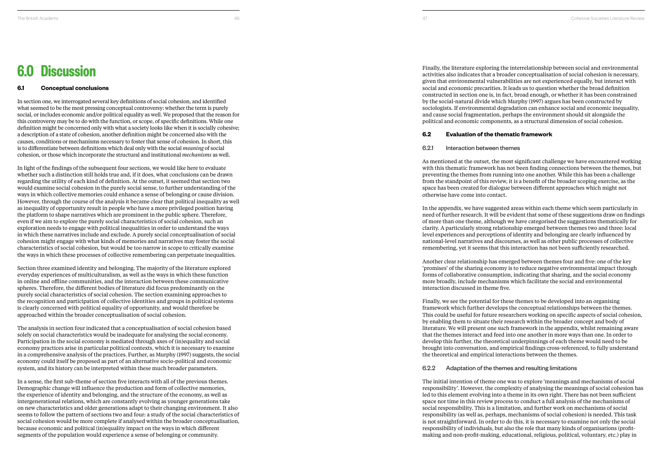## **6.0 Discussion**

#### **6.1 Conceptual conclusions**

In section one, we interrogated several key definitions of social cohesion, and identified what seemed to be the most pressing conceptual controversy: whether the term is purely social, or includes economic and/or political equality as well. We proposed that the reason for this controversy may be to do with the function, or scope, of specific definitions. While one definition might be concerned only with what a society looks like when it is socially cohesive; a description of a state of cohesion, another definition might be concerned also with the causes, conditions or mechanisms necessary to foster that sense of cohesion. In short, this is to differentiate between definitions which deal only with the social *meaning* of social cohesion, or those which incorporate the structural and institutional *mechanisms* as well.

In light of the findings of the subsequent four sections, we would like here to evaluate whether such a distinction still holds true and, if it does, what conclusions can be drawn regarding the utility of each kind of definition. At the outset, it seemed that section two would examine social cohesion in the purely social sense, to further understanding of the ways in which collective memories could enhance a sense of belonging or cause division. However, through the course of the analysis it became clear that political inequality as well as inequality of opportunity result in people who have a more privileged position having the platform to shape narratives which are prominent in the public sphere. Therefore, even if we aim to explore the purely social characteristics of social cohesion, such an exploration needs to engage with political inequalities in order to understand the ways in which these narratives include and exclude. A purely social conceptualisation of social cohesion might engage with what kinds of memories and narratives may foster the social characteristics of social cohesion, but would be too narrow in scope to critically examine the ways in which these processes of collective remembering can perpetuate inequalities.

Section three examined identity and belonging. The majority of the literature explored everyday experiences of multiculturalism, as well as the ways in which these function in online and offline communities, and the interaction between these communicative spheres. Therefore, the different bodies of literature did focus predominantly on the purely social characteristics of social cohesion. The section examining approaches to the recognition and participation of collective identities and groups in political systems is clearly concerned with political equality of opportunity, and would therefore be approached within the broader conceptualisation of social cohesion.

The analysis in section four indicated that a conceptualisation of social cohesion based solely on social characteristics would be inadequate for analysing the social economy. Participation in the social economy is mediated through axes of (in)equality and social economy practices arise in particular political contexts, which it is necessary to examine in a comprehensive analysis of the practices. Further, as Murphy (1997) suggests, the social economy could itself be proposed as part of an alternative socio-political and economic system, and its history can be interpreted within these much broader parameters.

In a sense, the first sub-theme of section five interacts with all of the previous themes. Demographic change will influence the production and form of collective memories, the experience of identity and belonging, and the structure of the economy, as well as intergenerational relations, which are constantly evolving as younger generations take on new characteristics and older generations adapt to their changing environment. It also seems to follow the pattern of sections two and four: a study of the social characteristics of social cohesion would be more complete if analysed within the broader conceptualisation, because economic and political (in)equality impact on the ways in which different segments of the population would experience a sense of belonging or community.

Finally, the literature exploring the interrelationship between social and environmental activities also indicates that a broader conceptualisation of social cohesion is necessary, given that environmental vulnerabilities are not experienced equally, but interact with social and economic precarities. It leads us to question whether the broad definition constructed in section one is, in fact, broad enough, or whether it has been constrained by the social-natural divide which Murphy (1997) argues has been constructed by sociologists. If environmental degradation can enhance social and economic inequality, and cause social fragmentation, perhaps the environment should sit alongside the political and economic components, as a structural dimension of social cohesion.

### **6.2 Evaluation of the thematic framework**

#### 6.2.1 Interaction between themes

As mentioned at the outset, the most significant challenge we have encountered working with this thematic framework has not been finding connections between the themes, but preventing the themes from running into one another. While this has been a challenge from the standpoint of this review, it is a benefit of the broader scoping exercise, as the space has been created for dialogue between different approaches which might not otherwise have come into contact.

In the appendix, we have suggested areas within each theme which seem particularly in need of further research. It will be evident that some of these suggestions draw on findings of more than one theme, although we have categorised the suggestions thematically for clarity. A particularly strong relationship emerged between themes two and three: local level experiences and perceptions of identity and belonging are clearly influenced by national-level narratives and discourses, as well as other public processes of collective remembering, yet it seems that this interaction has not been sufficiently researched.

Another clear relationship has emerged between themes four and five: one of the key 'promises' of the sharing economy is to reduce negative environmental impact through forms of collaborative consumption, indicating that sharing, and the social economy more broadly, include mechanisms which facilitate the social and environmental interaction discussed in theme five.

Finally, we see the potential for these themes to be developed into an organising framework which further develops the conceptual relationships between the themes. This could be useful for future researchers working on specific aspects of social cohesion, by enabling them to situate their research within the broader concept and body of literature. We will present one such framework in the appendix, whilst remaining aware that the themes interact and feed into one another in more ways than one. In order to develop this further, the theoretical underpinnings of each theme would need to be brought into conversation, and empirical findings cross-referenced, to fully understand the theoretical and empirical interactions between the themes.

### 6.2.2 Adaptation of the themes and resulting limitations

The initial intention of theme one was to explore 'meanings and mechanisms of social responsibility'. However, the complexity of analysing the meanings of social cohesion has led to this element evolving into a theme in its own right. There has not been sufficient space nor time in this review process to conduct a full analysis of the mechanisms of social responsibility. This is a limitation, and further work on mechanisms of social responsibility (as well as, perhaps, mechanisms of social cohesion) is needed. This task is not straightforward. In order to do this, it is necessary to examine not only the social responsibility of individuals, but also the role that many kinds of organisations (profitmaking and non-profit-making, educational, religious, political, voluntary, etc.) play in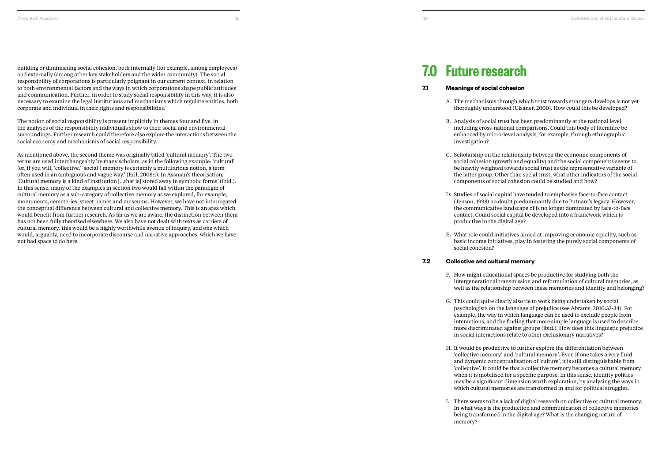building or diminishing social cohesion, both internally (for example, among employees) and externally (among other key stakeholders and the wider community). The social responsibility of corporations is particularly poignant in our current context, in relation to both environmental factors and the ways in which corporations shape public attitudes and communication. Further, in order to study social responsibility in this way, it is also necessary to examine the legal institutions and mechanisms which regulate entities, both corporate and individual in their rights and responsibilities.

The notion of social responsibility is present implicitly in themes four and five, in the analyses of the responsibility individuals show to their social and environmental surroundings. Further research could therefore also explore the interactions between the social economy and mechanisms of social responsibility.

As mentioned above, the second theme was originally titled 'cultural memory'. The two terms are used interchangeably by many scholars, as in the following example: 'cultural' (or, if you will, 'collective,' 'social') memory is certainly a multifarious notion, a term often used in an ambiguous and vague way.' (Erll, 2008:1). In Assman's theorisation, 'Cultural memory is a kind of institution […that is] stored away in symbolic forms' (ibid.). In this sense, many of the examples in section two would fall within the paradigm of cultural memory as a sub-category of collective memory as we explored, for example, monuments, cemeteries, street names and museums. However, we have not interrogated the conceptual difference between cultural and collective memory. This is an area which would benefit from further research. As far as we are aware, the distinction between them has not been fully theorised elsewhere. We also have not dealt with texts as carriers of cultural memory: this would be a highly worthwhile avenue of inquiry, and one which would, arguably, need to incorporate discourse and narrative approaches, which we have not had space to do here.

> H. It would be productive to further explore the differentiation between 'collective memory' and 'cultural memory'. Even if one takes a very fluid and dynamic conceptualisation of 'culture', it is still distinguishable from 'collective'. It could be that a collective memory becomes a cultural memory when it is mobilised for a specific purpose. In this sense, identity politics may be a significant dimension worth exploration, by analysing the ways in which cultural memories are transformed in and for political struggles.

# **7.0 Future research**

### **7.1 Meanings of social cohesion**

A. The mechanisms through which trust towards strangers develops is not yet thoroughly understood (Ulsaner, 2000). How could this be developed?

B. Analysis of social trust has been predominantly at the national level, including cross-national comparisons. Could this body of literature be enhanced by micro-level analysis, for example, through ethnographic

C. Scholarship on the relationship between the economic components of social cohesion (growth and equality) and the social components seems to be heavily weighted towards social trust as the representative variable of the latter group. Other than social trust, what other indicators of the social components of social cohesion could be studied and how?

- 
- investigation?
- 
- productive in the digital age?
- social cohesion?

D. Studies of social capital have tended to emphasise face-to-face contact (Jenson, 1998) no doubt predominantly due to Putnam's legacy. However, the communicative landscape of is no longer dominated by face-to-face contact. Could social capital be developed into a framework which is

E. What role could initiatives aimed at improving economic equality, such as basic income initiatives, play in fostering the purely social components of

### **7.2 Collective and cultural memory**

F. How might educational spaces be productive for studying both the intergenerational transmission and reformulation of cultural memories, as well as the relationship between these memories and identity and belonging?

G. This could quite clearly also tie to work being undertaken by social psychologists on the language of prejudice (see Abrams, 2010:33-34). For example, the way in which language can be used to exclude people from interactions, and the finding that more simple language is used to describe more discriminated against groups (ibid.). How does this linguistic prejudice in social interactions relate to other exclusionary narratives?

I. There seems to be a lack of digital research on collective or cultural memory. In what ways is the production and communication of collective memories being transformed in the digital age? What is the changing nature of

- 
- 
- 
- memory?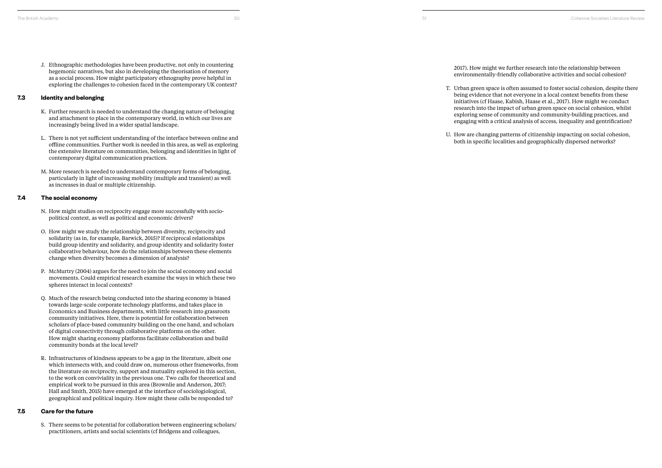J. Ethnographic methodologies have been productive, not only in countering hegemonic narratives, but also in developing the theorisation of memory as a social process. How might participatory ethnography prove helpful in exploring the challenges to cohesion faced in the contemporary UK context?

#### **7.3 Identity and belonging**

- K. Further research is needed to understand the changing nature of belonging and attachment to place in the contemporary world, in which our lives are increasingly being lived in a wider spatial landscape.
- L. There is not yet sufficient understanding of the interface between online and offline communities. Further work is needed in this area, as well as exploring the extensive literature on communities, belonging and identities in light of contemporary digital communication practices.
- M. More research is needed to understand contemporary forms of belonging, particularly in light of increasing mobility (multiple and transient) as well as increases in dual or multiple citizenship.

### **7.4 The social economy**

- N. How might studies on reciprocity engage more successfully with sociopolitical context, as well as political and economic drivers?
- O. How might we study the relationship between diversity, reciprocity and solidarity (as in, for example, Barwick, 2015)? If reciprocal relationships build group identity and solidarity, and group identity and solidarity foster collaborative behaviour, how do the relationships between these elements change when diversity becomes a dimension of analysis?
- P. McMurtry (2004) argues for the need to join the social economy and social movements. Could empirical research examine the ways in which these two spheres interact in local contexts?
- Q. Much of the research being conducted into the sharing economy is biased towards large-scale corporate technology platforms, and takes place in Economics and Business departments, with little research into grassroots community initiatives. Here, there is potential for collaboration between scholars of place-based community building on the one hand, and scholars of digital connectivity through collaborative platforms on the other. How might sharing economy platforms facilitate collaboration and build community bonds at the local level?
- R. Infrastructures of kindness appears to be a gap in the literature, albeit one which intersects with, and could draw on, numerous other frameworks, from the literature on reciprocity, support and mutuality explored in this section, to the work on conviviality in the previous one. Two calls for theoretical and empirical work to be pursued in this area (Brownlie and Anderson, 2017; Hall and Smith, 2015) have emerged at the interface of sociologiological, geographical and political inquiry. How might these calls be responded to?

### **7.5 Care for the future**

S. There seems to be potential for collaboration between engineering scholars/ practitioners, artists and social scientists (cf Bridgens and colleagues,

- 
- 

2017). How might we further research into the relationship between environmentally-friendly collaborative activities and social cohesion?

T. Urban green space is often assumed to foster social cohesion, despite there being evidence that not everyone in a local context benefits from these initiatives (cf Haase, Kabish, Haase et al., 2017). How might we conduct research into the impact of urban green space on social cohesion, whilst exploring sense of community and community-building practices, and engaging with a critical analysis of access, inequality and gentrification?

U. How are changing patterns of citizenship impacting on social cohesion, both in specific localities and geographically dispersed networks?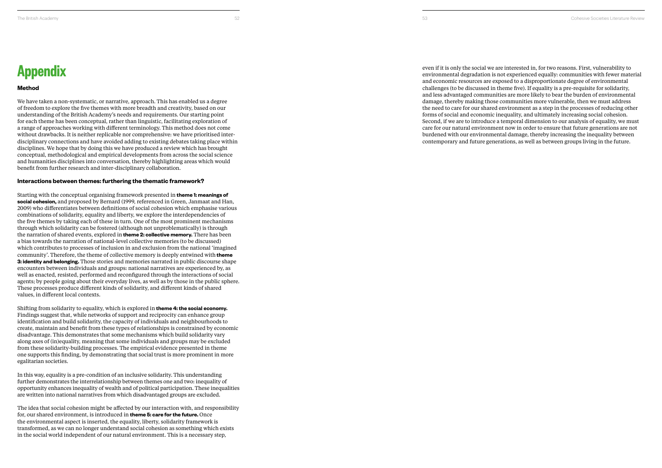# **Appendix**

#### **Method**

We have taken a non-systematic, or narrative, approach. This has enabled us a degree of freedom to explore the five themes with more breadth and creativity, based on our understanding of the British Academy's needs and requirements. Our starting point for each theme has been conceptual, rather than linguistic, facilitating exploration of a range of approaches working with different terminology. This method does not come without drawbacks. It is neither replicable nor comprehensive: we have prioritised interdisciplinary connections and have avoided adding to existing debates taking place within disciplines. We hope that by doing this we have produced a review which has brought conceptual, methodological and empirical developments from across the social science and humanities disciplines into conversation, thereby highlighting areas which would benefit from further research and inter-disciplinary collaboration.

#### **Interactions between themes: furthering the thematic framework?**

Starting with the conceptual organising framework presented in **theme 1: meanings of social cohesion,** and proposed by Bernard (1999, referenced in Green, Janmaat and Han, 2009) who differentiates between definitions of social cohesion which emphasise various combinations of solidarity, equality and liberty, we explore the interdependencies of the five themes by taking each of these in turn. One of the most prominent mechanisms through which solidarity can be fostered (although not unproblematically) is through the narration of shared events, explored in **theme 2: collective memory.** There has been a bias towards the narration of national-level collective memories (to be discussed) which contributes to processes of inclusion in and exclusion from the national 'imagined community'. Therefore, the theme of collective memory is deeply entwined with **theme 3: identity and belonging.** Those stories and memories narrated in public discourse shape encounters between individuals and groups: national narratives are experienced by, as well as enacted, resisted, performed and reconfigured through the interactions of social agents; by people going about their everyday lives, as well as by those in the public sphere. These processes produce different kinds of solidarity, and different kinds of shared values, in different local contexts.

Shifting from solidarity to equality, which is explored in **theme 4: the social economy.**  Findings suggest that, while networks of support and reciprocity can enhance group identification and build solidarity, the capacity of individuals and neighbourhoods to create, maintain and benefit from these types of relationships is constrained by economic disadvantage. This demonstrates that some mechanisms which build solidarity vary along axes of (in)equality, meaning that some individuals and groups may be excluded from these solidarity-building processes. The empirical evidence presented in theme one supports this finding, by demonstrating that social trust is more prominent in more egalitarian societies.

In this way, equality is a pre-condition of an inclusive solidarity. This understanding further demonstrates the interrelationship between themes one and two: inequality of opportunity enhances inequality of wealth and of political participation. These inequalities are written into national narratives from which disadvantaged groups are excluded.

The idea that social cohesion might be affected by our interaction with, and responsibility for, our shared environment, is introduced in **theme 5: care for the future.** Once the environmental aspect is inserted, the equality, liberty, solidarity framework is transformed, as we can no longer understand social cohesion as something which exists in the social world independent of our natural environment. This is a necessary step,

even if it is only the social we are interested in, for two reasons. First, vulnerability to environmental degradation is not experienced equally: communities with fewer material and economic resources are exposed to a disproportionate degree of environmental challenges (to be discussed in theme five). If equality is a pre-requisite for solidarity, and less advantaged communities are more likely to bear the burden of environmental damage, thereby making those communities more vulnerable, then we must address the need to care for our shared environment as a step in the processes of reducing other forms of social and economic inequality, and ultimately increasing social cohesion. Second, if we are to introduce a temporal dimension to our analysis of equality, we must care for our natural environment now in order to ensure that future generations are not burdened with our environmental damage, thereby increasing the inequality between contemporary and future generations, as well as between groups living in the future.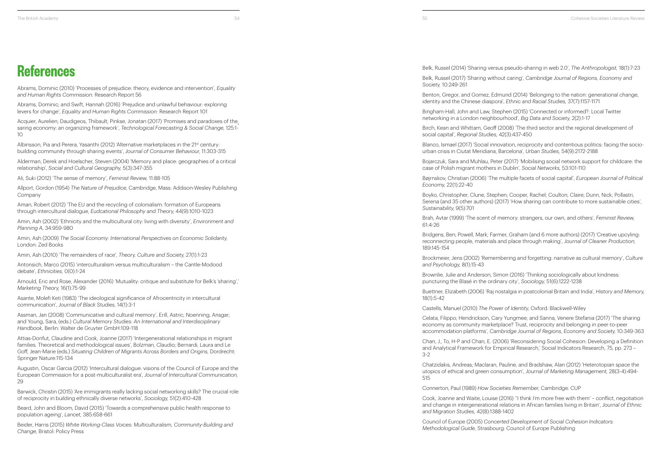## **References**

Abrams, Dominic (2010) 'Processes of prejudice: theory, evidence and intervention', *Equality and Human Rights Commission:* Research Report 56

Abrams, Dominic; and Swift, Hannah (2016) 'Prejudice and unlawful behaviour: exploring levers for change', *Equality and Human Rights Commission:* Research Report 101

Albinsson, Pia and Perera, Yasanthi (2012) 'Alternative marketplaces in the 21<sup>st</sup> century: building community through sharing events', *Journal of Consumer Behaviour,* 11:303-315

Acquier, Aurelien; Daudigeos, Thibault; Pinkse, Jonatan (2017) 'Promises and paradoxes of the saring economy: an organizing framework', *Technological Forecasting & Social Change,* 125:1- 10

Alderman, Derek and Hoelscher, Steven (2004) 'Memory and place: geographies of a critical relationship', *Social and Cultural Geography,* 5(3):347-355

Ali, Suki (2012) 'The sense of memory', *Feminist Review,* 11:88-105

Allport, Gordon (1954) *The Nature of Prejudice,* Cambridge, Mass: Addison-Wesley Publishing Company

Aman, Robert (2012) 'The EU and the recycling of colonialism: formation of Europeans through intercultural dialogue, *Eudcational Philosophy and Theory,* 44(9):1010-1023

Augustin, Oscar Garcia (2012) 'Intercultural dialogue: visions of the Council of Europe and the European Commission for a post-multiculturalist era', *Journal of Intercultural Communication,*   $29$ 

Amin, Ash (2002) 'Ethnicity and the multicultural city: living with diversity', *Environment and Planning A,* 34:959-980

Amin, Ash (2009) *The Social Economy: International Perspectives on Economic Solidarity,*  London: Zed Books

Amin, Ash (2010) 'The remainders of race', *Theory, Culture and Society,* 27(1):1-23

Antonsich, Marco (2015) 'interculturalism versus multiculturalism – the Cantle-Modood debate', *Ethnicities,* 0(0):1-24

Arnould, Eric and Rose, Alexander (2016) 'Mutuality: critique and substitute for Belk's 'sharing',' *Marketing Theory,* 16(1):75-99

Asante, Molefi Keti (1983) 'The ideological significance of Afrocentricity in intercultural communication', *Journal of Black Studies,* 14(1):3-1

Assman, Jan (2008) 'Communicative and cultural memory', Erill, Astric; Noenning, Ansgar; and Young, Sara, (eds.) *Cultural Memory Studies: An International and Interdisciplinary Handbook,* Berlin: Walter de Gruyter GmbH:109-118

Attias-Donfut, Claudine and Cook, Joanne (2017) 'Intergenerational relationships in migrant families. Theoretical and methodological issues', Bolzman, Claudio; Bernardi, Laura and Le Goff, Jean-Marie (eds.) *Situating Children of Migrants Across Borders and Origins,* Dordrecht: Springer Nature:115-134

Barwick, Christin (2015) 'Are immigrants really lacking social networking skills? The crucial role of reciprocity in building ethnically diverse networks', *Sociology,* 51(2):410-428

Beard, John and Bloom, David (2015) 'Towards a comprehensive public health response to population ageing', *Lancet,* 385:658-661

Beider, Harris (2015) *White Working-Class Voices: Multiculturalism, Community-Building and Change,* Bristol: Policy Press

Belk, Russel (2014) 'Sharing versus pseudo-sharing in web 2.0', *The Anthropologist,* 18(1):7-23 Belk, Russel (2017) 'Sharing without caring', *Cambridge Journal of Regions, Economy and* 

*Society,* 10:249-261

Benton, Gregor, and Gomez, Edmund (2014) 'Belonging to the nation: generational change, identity and the Chinese diaspora', *Ethnic and Racial Studies,* 37(7):1157-1171

Bingham-Hall, John and Law, Stephen (2015) 'Connected or informed?: Local Twitter networking in a London neighbourhood', *Big Data and Society,* 2(2):1-17

Birch, Kean and Whittam, Geoff (2008) 'The third sector and the regional development of social capital', *Regional Studies,* 42(3):437-450

Blanco, Ismael (2017) 'Social innovation, reciprocity and contentious politics: facing the sociourban crisis in Ciutat Meridiana, Barcelona', *Urban Studies,* 54(9):2172-2188

Bojarczuk, Sara and Muhlau, Peter (2017) 'Mobilising social network support for childcare: the case of Polish migrant mothers in Dublin', *Social Networks,* 53:101-110

Bøjrnskov, Christian (2006) 'The multiple facets of social capital', *European Journal of Political* 

*Economy,* 22(1):22-40

Boyko, Christopher; Clune, Stephen; Cooper, Rachel; Coulton, Claire; Dunn, Nick; Pollastri, Serena (and 35 other authors) (2017) 'How sharing can contribute to more sustainable cities',

*Sustainability,* 9(5):701

Brah, Avtar (1999) 'The scent of memory: strangers, our own, and others', *Feminist Review,* 

61:4-26

Bridgens, Ben; Powell, Mark; Farmer, Graham (and 6 more authors) (2017) 'Creative upcyling: reconnecting people, materials and place through making', *Journal of Cleaner Production,*  189:145-154

Brockmeier, Jens (2002) 'Remembering and forgetting: narrative as cultural memory', *Culture* 

*and Psychology,* 8(1):15-43

Brownlie, Julie and Anderson, Simon (2016) 'Thinking sociologically about kindness: puncturing the Blasé in the ordinary city', *Sociology,* 51(6):1222-1238

 $18(1) \cdot 5 - 42$ 

Buettner, Elizabeth (2006) 'Raj nostalgia in postcolonial Britain and India', *History and Memory,* 

Castells, Manuel (2010) *The Power of Identity,* Oxford: Blackwell-Wiley

Celata, Filippo; Hendrickson, Cary Yungmee; and Sanna, Venere Stefania (2017) 'The sharing economy as community marketplace? Trust, reciprocity and belonging in peer-to-peer accommodation platforms', *Cambridge Journal of Regions, Economy and Society,* 10:349-363

Chan, J., To, H-P and Chan, E. (2006) 'Reconsidering Social Cohesion: Developing a Definition and Analytical Framework for Empirical Research,' Social Indicators Research, 75, pp. 273 – 3-2

Chatzidakis, Andreas; Maclaran, Pauline, and Bradshaw, Alan (2012) 'Heterotopian space the utopics of ethical and green consumption', *Journal of Marketing Management,* 28(3-4):494- 515

Connerton, Paul (1989) *How Societies Remember,* Cambridge: CUP

Cook, Joanne and Waite, Louise (2016) ''I think I'm more free with them' – conflict, negotiation and change in intergenerational relations in African families living in Britain', *Journal of Ethnic and Migration Studies,* 42(8):1388-1402

Council of Europe (2005) *Concerted Development of Social Cohesion Indicators: Methodological Guide,* Strasbourg: Council of Europe Publishing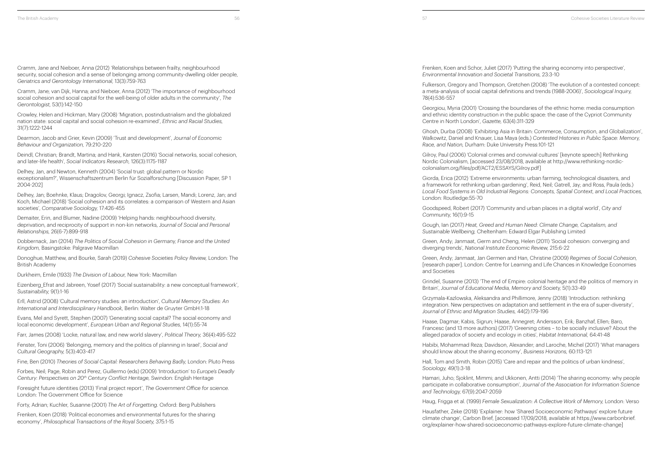Cramm, Jane and Nieboer, Anna (2012) 'Relationships between frailty, neighbourhood security, social cohesion and a sense of belonging among community-dwelling older people, *Geriatrics and Gerontology International,* 13(3):759-763

Cramm, Jane; van Dijk, Hanna; and Nieboer, Anna (2012) 'The importance of neighbourhood social cohesion and social capital for the well-being of older adults in the community', *The Gerontologist,* 53(1):142-150

Crowley, Helen and Hickman, Mary (2008) 'Migration, postindustrialism and the globalized nation state: social capital and social cohesion re-examined', *Ethnic and Racial Studies,*  31(7):1222-1244

Dearmon, Jacob and Grier, Kevin (2009) 'Trust and development', *Journal of Economic Behaviour and Organization,* 79:210-220

Deindl, Christian; Brandt, Martina; and Hank, Karsten (2016) 'Social networks, social cohesion, and later-life health', *Social Indicators Research,* 126(3):1175-1187

Delhey, Jan, and Newton, Kenneth (2004) 'Social trust: global pattern or Nordic exceptionalism?', Wissenschaftszentrum Berlin für Sozialforschung [Discussion Paper, SP 1 2004-202]

Delhey, Jan; Boehnke, Klaus; Dragolov, Georgi; Ignacz, Zsofia; Larsen, Mandi; Lorenz, Jan; and Koch, Michael (2018) 'Social cohesion and its correlates: a comparison of Western and Asian societies', *Comparative Sociology,* 17:426-455

Demaiter, Erin, and Blumer, Nadine (2009) 'Helping hands: neighbourhood diversity, deprivation, and reciprocity of support in non-kin networks, *Journal of Social and Personal Relationships,* 26(6-7):899-918

Dobbernack, Jan (2014) *The Politics of Social Cohesion in Germany, France and the United Kingdom,* Basingstoke: Palgrave Macmillan

Donoghue, Matthew, and Bourke, Sarah (2019) *Cohesive Societies Policy Review,* London: The British Academy

Durkheim, Emile (1933) *The Division of Labour,* New York: Macmillan

Eizenberg\_Efrat and Jabreen, Yosef (2017) 'Social sustainability: a new conceptual framework', *Sustainability,* 9(1):1-16

Erll, Astrid (2008) 'Cultural memory studies: an introduction', *Cultural Memory Studies: An International and Interdisciplinary Handbook,* Berlin: Walter de Gruyter GmbH:1-18

Evans, Mel and Syrett, Stephen (2007) 'Generating social capital? The social economy and local economic development', *European Urban and Regional Studies,* 14(1):55-74

Farr, James (2008) 'Locke, natural law, and new world slavery', *Political Theory,* 36(4):495-522

Fenster, Toni (2006) 'Belonging, memory and the politics of planning in Israel', *Social and Cultural Geography,* 5(3):403-417

Fine, Ben (2010) *Theories of Social Capital: Researchers Behaving Badly,* London: Pluto Press

Forbes, Neil; Page, Robin and Perez, Guillermo (eds) (2009) 'Introduction' to *Europe's Deadly Century: Perspectives on 20th Century Conflict Heritage,* Swindon: English Heritage

Foresight future identities (2013) 'Final project report', *The Government Office for science.*  London: The Government Office for Science

Forty, Adrian; Kuchler, Susanne (2001) *The Art of Forgetting.* Oxford: Berg Publishers

Frenken, Koen (2018) 'Political economies and environmental futures for the sharing economy', *Philosophical Transactions of the Royal Society,* 375:1-15

Frenken, Koen and Schor, Juliet (2017) 'Putting the sharing economy into perspective', *Environmental Innovation and Societal Transitions,* 23:3-10

Fulkerson, Gregory and Thompson, Gretchen (2008) 'The evolution of a contested concept: a meta-analysis of social capital definitions and trends (1988-2006)', *Sociological Inquiry,* 

78(4):536-557

Georgiou, Myria (2001) 'Crossing the boundaries of the ethnic home: media consumption and ethnic identity construction in the public space: the case of the Cypriot Community Centre in North London', *Gazette,* 63(4):311-329

Ghosh, Durba (2008) 'Exhibiting Asia in Britain: Commerce, Consumption, and Globalization', Walkowitz, Daniel and Knauer, Lisa Maya (eds.) *Contested Histories in Public Space: Memory, Race, and Nation,* Durham: Duke University Press:101-121

Gilroy, Paul (2006) 'Colonial crimes and convivial cultures' [keynote speech] Rethinking Nordic Colonialism, [accessed 23/08/2018, available at http://www.rethinking-nordiccolonialism.org/files/pdf/ACT2/ESSAYS/Gilroy.pdf]

Giorda, Erica (2012) 'Extreme environments: urban farming, technological disasters, and a framework for rethinking urban gardening', Reid, Neil; Gatrell, Jay; and Ross, Paula (eds.) *Local Food Systems in Old Industrial Regions: Concepts, Spatial Context, and Local Practices,*  London: Routledge:55-70

Goodspeed, Robert (2017) 'Community and urban places in a digital world', *City and* 

*Community,* 16(1):9-15

Gough, Ian (2017) *Heat, Greed and Human Need: Climate Change, Capitalism, and Sustainable Wellbeing,* Cheltenham: Edward Elgar Publishing Limited

Green, Andy; Janmaat, Germ and Cheng, Helen (2011) 'Social cohesion: converging and diverging trends', *National Institute Economic Review,* 215:6-22

Green, Andy; Janmaat, Jan Germen and Han, Christine (2009) *Regimes of Social Cohesion,*  [research paper]. London: Centre for Learning and Life Chances in Knowledge Economies

and Societies

Grindel, Susanne (2013) 'The end of Empire: colonial heritage and the politics of memory in Britain', *Journal of Educational Media, Memory and Society,* 5(1):33-49

Grzymala-Kazlowska, Aleksandra and Phillimore, Jenny (2018) 'Introduction: rethinking integration. New perspectives on adaptation and settlement in the era of super-diversity', *Journal of Ethnic and Migration Studies,* 44(2):179-196

Haase, Dagmar; Kabis, Sigrun; Haase, Annegret; Andersson, Erik; Banzhaf, Ellen; Baro, Francesc (and 13 more authors) (2017) 'Greening cities – to be socially inclusive? About the alleged paradox of society and ecology in cities', *Habitat International,* 64:41-48

Habibi, Mohammad Reza; Davidson, Alexander; and Laroche, Michel (2017) 'What managers should know about the sharing economy', *Business Horizons,* 60:113-121

Hall, Tom and Smith, Robin (2015) 'Care and repair and the politics of urban kindness',

*Sociology,* 49(1):3-18

Hamari, Juho; Sjoklint, Mimmi; and Ukkonen, Antti (2014) 'The sharing economy: why people participate in collaborative consumption', *Journal of the Association for Information Science and Technology,* 67(9):2047-2059

Haug, Frigga et al. (1999) *Female Sexualization: A Collective Work of Memory,* London: Verso

Hausfather, Zeke (2018) 'Explainer: how 'Shared Socioeconomic Pathways' explore future climate change', Carbon Brief, [accessed 17/09/2018, available at https://www.carbonbrief. org/explainer-how-shared-socioeconomic-pathways-explore-future-climate-change]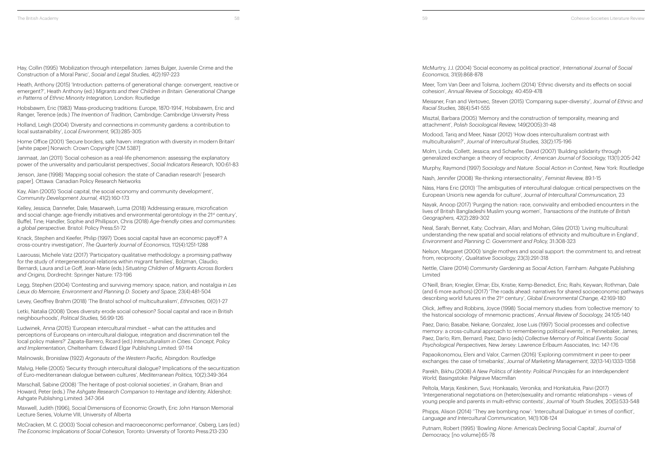Hay, Collin (1995) 'Mobilization through interpellation: James Bulger, Juvenile Crime and the Construction of a Moral Panic', *Social and Legal Studies,* 4(2):197-223

Heath, Anthony (2015) 'Introduction: patterns of generational change: convergent, reactive or emergent?', Heath Anthony (ed.) *Migrants and their Children in Britain: Generational Change in Patterns of Ethnic Minority Integration,* London: Routledge

Hobsbawm, Eric (1983) 'Mass-producing traditions: Europe, 1870-1914', Hobsbawm, Eric and Ranger, Terence (eds.) *The Invention of Tradition,* Cambridge: Cambridge University Press

Holland, Leigh (2004) 'Diversity and connections in community gardens: a contribution to local sustainability', *Local Environment,* 9(3):285-305

Home Office (2001) 'Secure borders, safe haven: integration with diversity in modern Britain' [white paper] Norwich: Crown Copyright [CM 5387]

Janmaat, Jan (2011) 'Social cohesion as a real-life phenomenon: assessing the explanatory power of the universality and particularist perspectives', *Social Indicators Research,* 100:61-83

Jenson, Jane (1998) 'Mapping social cohesion: the state of Canadian research' [research paper]. Ottawa: Canadian Policy Research Networks

Kay, Alan (2005) 'Social capital, the social economy and community development', *Community Development Journal,* 41(2):160-173

Kelley, Jessica; Dannefer, Dale; Masarweh, Luma (2018) 'Addressing erasure, microfication and social change: age-friendly initiatives and environmental gerontology in the 21<sup>st</sup> century', Buffel, Tine; Handler, Sophie and Phillipson, Chris (2018) *Age-friendly cities and communities: a global perspective.* Bristol: Policy Press:51-72

Knack, Stephen and Keefer, Philip (1997) 'Does social capital have an economic payoff? A cross-country investigation', *The Quarterly Journal of Economics,* 112(4):1251-1288

Laaroussi, Michele Vatz (2017) 'Participatory qualitative methodology: a promising pathway for the study of intergenerational relations within migrant families'. Bolzman, Claudio: Bernardi, Laura and Le Goff, Jean-Marie (eds.) *Situating Children of Migrants Across Borders and Origins,* Dordrecht: Springer Nature: 173-196

Legg, Stephen (2004) 'Contesting and surviving memory: space, nation, and nostalgia in *Les Lieux do Memoire, Environment and Planning D: Society and Space,* 23(4):481-504

Levey, Geoffrey Brahm (2018) 'The Bristol school of multiculturalism', *Ethnicities,* 0(0):1-27

Letki, Natalia (2008) 'Does diversity erode social cohesion? Social capital and race in British neighbourhoods', *Political Studies,* 56:99-126

Ludwinek, Anna (2015) 'European intercultural mindset – what can the attitudes and perceptions of Europeans on intercultural dialogue, integration and discrimination tell the local policy makers?' Zapata-Barrero, Ricard (ed.) *Interculturalism in Cities: Concept, Policy and Implementation,* Cheltenham: Edward Elgar Publishing Limited: 97-114

Malinowski, Bronislaw (1922) *Argonauts of the Western Pacific,* Abingdon: Routledge

Malvig, Helle (2005) 'Security through intercultural dialogue? Implications of the securitization of Euro-mediterranean dialogue between cultures', *Mediterranean Politics,* 10(2):349-364

Marschall, Sabine (2008) 'The heritage of post-colonial societies', in Graham, Brian and Howard, Peter (eds.) *The Ashgate Research Companion to Heritage and Identity,* Aldershot: Ashgate Publishing Limited: 347-364

Maxwell, Judith (1996), Social Dimensions of Economic Growth, Eric John Hanson Memorial Lecture Series, Volume VIII, University of Alberta

McCracken, M. C. (2003) 'Social cohesion and macroeconomic performance', Osberg, Lars (ed.) *The Economic Implications of Social Cohesion,* Toronto: University of Toronto Press:213-230

McMurtry, J.J. (2004) 'Social economy as political practice', *International Journal of Social* 

*Economics,* 31(9):868-878

cohesion', *Annual Review of Sociology,* 40:459-478

*Racial Studies,* 38(4):541-555

attachment', *Polish Sociological Review,* 149(2005):31-48

multiculturalism?', *Journal of Intercultural Studies,* 33(2):175-196

*Geographers,* 42(2):289-302

*Environment and Planning C: Government and Policy,* 31:308-323

from, reciprocity', *Qualitative Sociology,* 23(3):291-318

- Meer, Tom Van Deer and Tolsma, Jochem (2014) 'Ethnic diversity and its effects on social
- Meissner, Fran and Vertovec, Steven (2015) 'Comparing super-diversity', *Journal of Ethnic and*
- Misztal, Barbara (2005) 'Memory and the construction of temporality, meaning and
- Modood, Tariq and Meer, Nasar (2012) 'How does interculturalism contrast with
- Molm, Linda; Collett, Jessica; and Schaefer, David (2007) 'Building solidarity through generalized exchange: a theory of reciprocity', *American Journal of Sociology,* 113(1):205-242
- Murphy, Raymond (1997) *Sociology and Nature: Social Action in Context,* New York: Routledge
- Nash, Jennifer (2008) 'Re-thinking intersectionality', *Feminist Review,* 89:1-15
- Näss, Hans Eric (2010) 'The ambiguities of intercultural dialogue: critical perspectives on the European Union's new agenda for culture', *Journal of Intercultural Communication,* 23
- Nayak, Anoop (2017) 'Purging the nation: race, conviviality and embodied encounters in the lives of British Bangladeshi Muslim young women', *Transactions of the Institute of British*
- Neal, Sarah; Bennet, Katy; Cochrain, Allan; and Mohan, Giles (2013) 'Living multicultural: understanding the new spatial and social relations of ethnicity and multiculture in England',
- Nelson, Margaret (2000) 'single mothers and social support: the commitment to, and retreat
- Nettle, Claire (2014) *Community Gardening as Social Action,* Farnham: Ashgate Publishing
- O'Neill, Brian; Kriegler, Elmar; Ebi, Kristie; Kemp-Benedict, Eric; Riahi, Keywan; Rothman, Dale (and 6 more authors) (2017) 'The roads ahead: narratives for shared socioeconomic pathways describing world futures in the 21st century', *Global Environmental Change,* 42:169-180
- Olick, Jeffrey and Robbins, Joyce (1998) 'Social memory studies: from 'collective memory' to the historical sociology of mnemonic practices', *Annual Review of Sociology,* 24:105-140
- Paez, Dario; Basabe, Nekane; Gonzalez, Jose Luis (1997) 'Social processes and collective memory: a cross-cultural approach to remembering political events', in Pennebaker, James; Paez, Dar!o; Rim, Bernard; Paez, Dario (eds) *Collective Memory of Political Events: Social Psychological Perspectives,* New Jersey: Lawrence Erlbaum Associates, Inc: 147-176
- Papaoikonomou, Eleni and Valor, Carmen (2016) 'Exploring commitment in peer-to-peer exchanges: the case of timebanks', *Journal of Marketing Management,* 32(13-14):1333-1358
- Parekh, Bikhu (2008) *A New Politics of Identity: Political Principles for an Interdependent*
- Peltola, Marja; Keskinen, Suvi; Honkasalo, Veronika; and Honkatukia, Paivi (2017) 'Intergenerational negotiations on (hetero)sexuality and romantic relationships – views of young people and parents in multi-ethnic contexts', *Journal of Youth Studies,* 20(5):533-548
- Phipps, Alison (2014) ''They are bombing now': 'Intercultural Dialogue' in times of conflict',
- Putnam, Robert (1995) 'Bowling Alone: America's Declining Social Capital', *Journal of*

Limited

*World,* Basingstoke: Palgrave Macmillan

*Language and Intercultural Communication,* 14(1):108-124

*Democracy,* [no volume]:65-78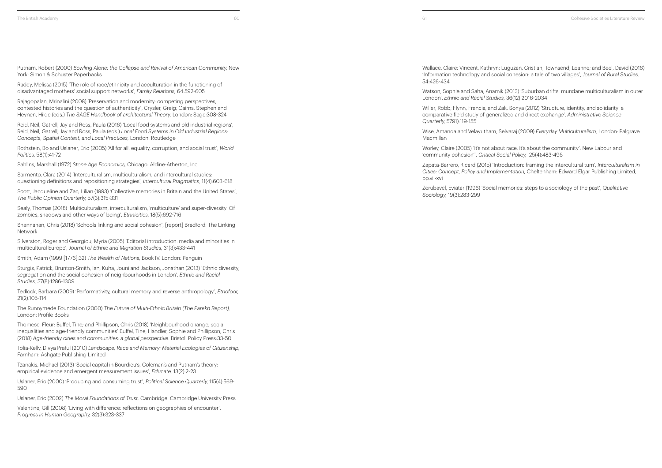Putnam, Robert (2000) *Bowling Alone: the Collapse and Revival of American Community,* New York: Simon & Schuster Paperbacks

Radey, Melissa (2015) 'The role of race/ethnicity and acculturation in the functioning of disadvantaged mothers' social support networks', *Family Relations,* 64:592-605

Rajagopalan, Mrinalini (2008) 'Preservation and modernity: competing perspectives, contested histories and the question of authenticity', Crysler, Greig; Cairns, Stephen and Heynen, Hilde (eds.) *The SAGE Handbook of architectural Theory,* London: Sage:308-324

Reid, Neil; Gatrell, Jay and Ross, Paula (2016) 'Local food systems and old industrial regions', Reid, Neil; Gatrell, Jay and Ross, Paula (eds.) *Local Food Systems in Old Industrial Regions: Concepts, Spatial Context, and Local Practices,* London: Routledge

Rothstein, Bo and Uslaner, Eric (2005) 'All for all: equality, corruption, and social trust', *World Politics,* 58(1):41-72

Sahlins, Marshall (1972) *Stone Age Economics,* Chicago: Aldine-Atherton, Inc.

Sarmento, Clara (2014) 'Interculturalism, multiculturalism, and intercultural studies: questioning definitions and repositioning strategies', *Intercultural Pragmatics,* 11(4):603-618

Scott, Jacqueline and Zac, Lilian (1993) 'Collective memories in Britain and the United States', *The Public Opinion Quarterly,* 57(3):315-331

Sealy, Thomas (2018) 'Multiculturalism, interculturalism, 'multiculture' and super-diversity: Of zombies, shadows and other ways of being', *Ethnicities,* 18(5):692-716

Shannahan, Chris (2018) 'Schools linking and social cohesion', [report] Bradford: The Linking Network

Silverston, Roger and Georgiou, Myria (2005) 'Editorial introduction: media and minorities in multicultural Europe', *Journal of Ethnic and Migration Studies,* 31(3):433-441

Smith, Adam (1999 [1776]:32) *The Wealth of Nations,* Book IV. London: Penguin

Sturgis, Patrick; Brunton-Smith, Ian; Kuha, Jouni and Jackson, Jonathan (2013) 'Ethnic diversity, segregation and the social cohesion of neighbourhoods in London', *Ethnic and Racial Studies,* 37(8):1286-1309

Tedlock, Barbara (2009) 'Performativity, cultural memory and reverse anthropology', *Etnofoor,*  21(2):105-114

The Runnymede Foundation (2000) *The Future of Multi-Ethnic Britain (The Parekh Report),*  London: Profile Books

Thomese, Fleur; Buffel, Tine; and Phillipson, Chris (2018) 'Neighbourhood change, social inequalities and age-friendly communities' Buffel, Tine; Handler, Sophie and Phillipson, Chris (2018) *Age-friendly cities and communities: a global perspective.* Bristol: Policy Press:33-50

Tolia-Kelly, Divya Praful (2010) *Landscape, Race and Memory: Material Ecologies of Citizenship,*  Farnham: Ashgate Publishing Limited

Tzanakis, Michael (2013) 'Social capital in Bourdieu's, Coleman's and Putnam's theory: empirical evidence and emergent measurement issues', *Educate,* 13(2):2-23

Uslaner, Eric (2000) 'Producing and consuming trust', *Political Science Quarterly,* 115(4):569- 590

Uslaner, Eric (2002) *The Moral Foundations of Trust,* Cambridge: Cambridge University Press

Valentine, Gill (2008) 'Living with difference: reflections on geographies of encounter', *Progress in Human Geography,* 32(3):323-337

Wallace, Claire; Vincent, Kathryn; Luguzan, Cristian; Townsend, Leanne; and Beel, David (2016) 'Information technology and social cohesion: a tale of two villages', *Journal of Rural Studies,* 

54:426-434

Watson, Sophie and Saha, Anamik (2013) 'Suburban drifts: mundane multiculturalism in outer London', *Ethnic and Racial Studies,* 36(12):2016-2034

Willer, Robb; Flynn, Francis; and Zak, Sonya (2012) 'Structure, identity, and solidarity: a comparative field study of generalized and direct exchange', *Administrative Science* 

*Quarterly,* 5791):119-155

Wise, Amanda and Velayutham, Selvaraj (2009) *Everyday Multiculturalism,* London: Palgrave

Macmillan

Worley, Claire (2005) 'It's not about race. It's about the community': New Labour and 'community cohesion'', *Critical Social Policy,* 25(4):483-496

Zapata-Barrero, Ricard (2015) 'Introduction: framing the intercultural turn', *Interculturalism in Cities: Concept, Policy and Implementation,* Cheltenham: Edward Elgar Publishing Limited,

pp.vii-xvi

Zerubavel, Eviatar (1996) 'Social memories: steps to a sociology of the past', *Qualitative* 

*Sociology,* 19(3):283-299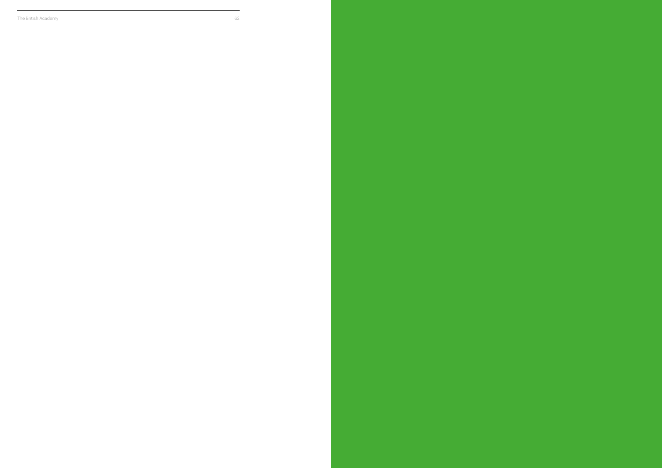The British Academy 62 Cohesive Societies Literature Societies Literature Societies Literature Societies Literature Review Societies Literature Review Societies Literature Review Societies Literature Review Societies Liter